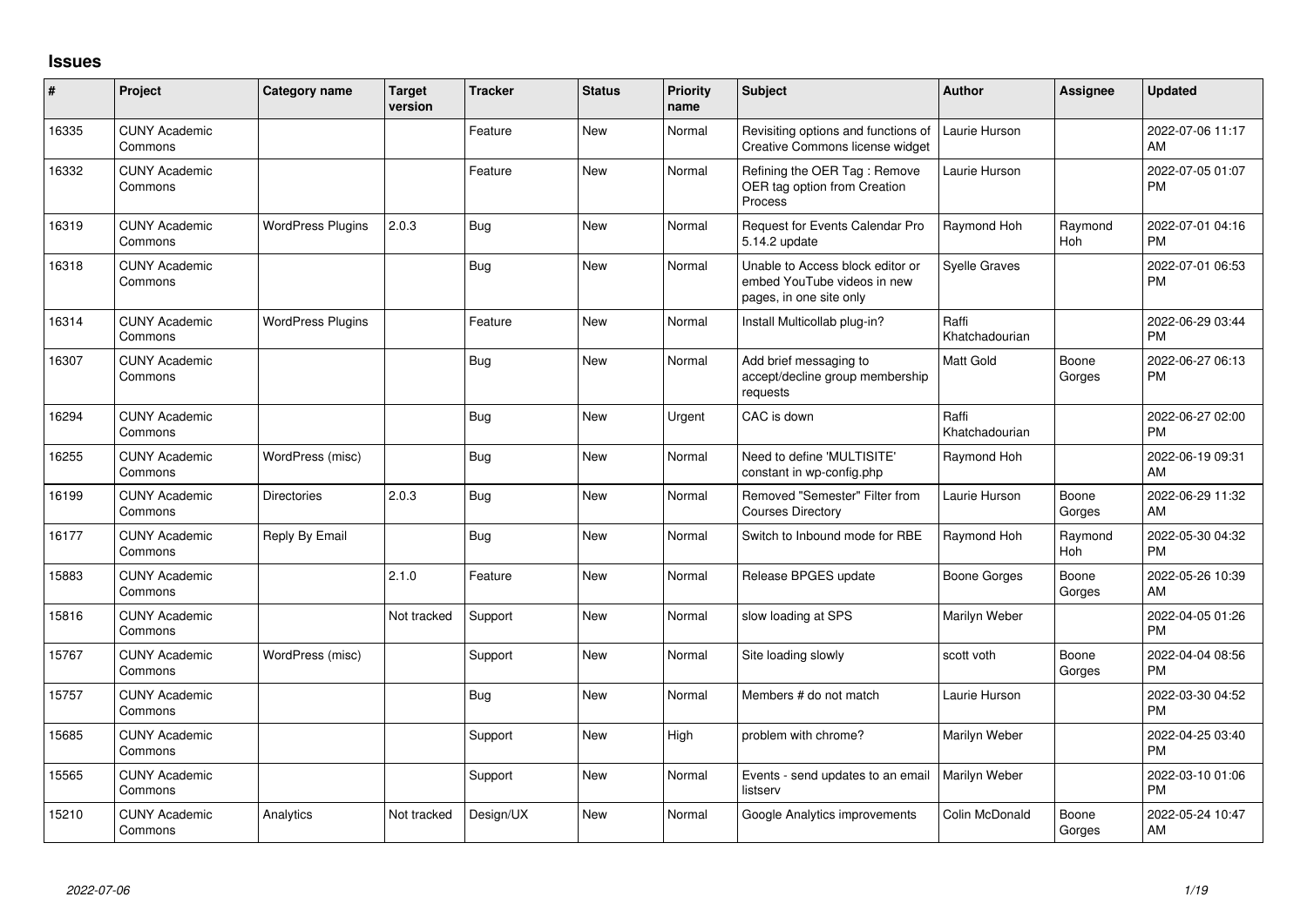## **Issues**

| ∦     | Project                         | <b>Category name</b>     | <b>Target</b><br>version | <b>Tracker</b> | <b>Status</b> | <b>Priority</b><br>name | <b>Subject</b>                                                                             | <b>Author</b>           | <b>Assignee</b> | <b>Updated</b>                |
|-------|---------------------------------|--------------------------|--------------------------|----------------|---------------|-------------------------|--------------------------------------------------------------------------------------------|-------------------------|-----------------|-------------------------------|
| 16335 | <b>CUNY Academic</b><br>Commons |                          |                          | Feature        | <b>New</b>    | Normal                  | Revisiting options and functions of<br>Creative Commons license widget                     | Laurie Hurson           |                 | 2022-07-06 11:17<br>AM        |
| 16332 | <b>CUNY Academic</b><br>Commons |                          |                          | Feature        | <b>New</b>    | Normal                  | Refining the OER Tag: Remove<br>OER tag option from Creation<br>Process                    | Laurie Hurson           |                 | 2022-07-05 01:07<br><b>PM</b> |
| 16319 | <b>CUNY Academic</b><br>Commons | <b>WordPress Plugins</b> | 2.0.3                    | <b>Bug</b>     | New           | Normal                  | Request for Events Calendar Pro<br>5.14.2 update                                           | Raymond Hoh             | Raymond<br>Hoh  | 2022-07-01 04:16<br>PM        |
| 16318 | <b>CUNY Academic</b><br>Commons |                          |                          | <b>Bug</b>     | <b>New</b>    | Normal                  | Unable to Access block editor or<br>embed YouTube videos in new<br>pages, in one site only | <b>Syelle Graves</b>    |                 | 2022-07-01 06:53<br>PM        |
| 16314 | <b>CUNY Academic</b><br>Commons | <b>WordPress Plugins</b> |                          | Feature        | <b>New</b>    | Normal                  | Install Multicollab plug-in?                                                               | Raffi<br>Khatchadourian |                 | 2022-06-29 03:44<br><b>PM</b> |
| 16307 | <b>CUNY Academic</b><br>Commons |                          |                          | <b>Bug</b>     | New           | Normal                  | Add brief messaging to<br>accept/decline group membership<br>requests                      | Matt Gold               | Boone<br>Gorges | 2022-06-27 06:13<br>PM        |
| 16294 | <b>CUNY Academic</b><br>Commons |                          |                          | <b>Bug</b>     | <b>New</b>    | Urgent                  | CAC is down                                                                                | Raffi<br>Khatchadourian |                 | 2022-06-27 02:00<br><b>PM</b> |
| 16255 | <b>CUNY Academic</b><br>Commons | WordPress (misc)         |                          | Bug            | New           | Normal                  | Need to define 'MULTISITE'<br>constant in wp-config.php                                    | Raymond Hoh             |                 | 2022-06-19 09:31<br>AM        |
| 16199 | <b>CUNY Academic</b><br>Commons | <b>Directories</b>       | 2.0.3                    | Bug            | New           | Normal                  | Removed "Semester" Filter from<br><b>Courses Directory</b>                                 | Laurie Hurson           | Boone<br>Gorges | 2022-06-29 11:32<br>AM        |
| 16177 | <b>CUNY Academic</b><br>Commons | Reply By Email           |                          | <b>Bug</b>     | <b>New</b>    | Normal                  | Switch to Inbound mode for RBE                                                             | Raymond Hoh             | Raymond<br>Hoh  | 2022-05-30 04:32<br><b>PM</b> |
| 15883 | <b>CUNY Academic</b><br>Commons |                          | 2.1.0                    | Feature        | New           | Normal                  | Release BPGES update                                                                       | Boone Gorges            | Boone<br>Gorges | 2022-05-26 10:39<br>AM        |
| 15816 | <b>CUNY Academic</b><br>Commons |                          | Not tracked              | Support        | New           | Normal                  | slow loading at SPS                                                                        | Marilyn Weber           |                 | 2022-04-05 01:26<br>PM        |
| 15767 | <b>CUNY Academic</b><br>Commons | WordPress (misc)         |                          | Support        | <b>New</b>    | Normal                  | Site loading slowly                                                                        | scott voth              | Boone<br>Gorges | 2022-04-04 08:56<br>PM        |
| 15757 | <b>CUNY Academic</b><br>Commons |                          |                          | Bug            | <b>New</b>    | Normal                  | Members # do not match                                                                     | Laurie Hurson           |                 | 2022-03-30 04:52<br>PM        |
| 15685 | <b>CUNY Academic</b><br>Commons |                          |                          | Support        | <b>New</b>    | High                    | problem with chrome?                                                                       | Marilyn Weber           |                 | 2022-04-25 03:40<br><b>PM</b> |
| 15565 | <b>CUNY Academic</b><br>Commons |                          |                          | Support        | New           | Normal                  | Events - send updates to an email<br>listserv                                              | Marilyn Weber           |                 | 2022-03-10 01:06<br><b>PM</b> |
| 15210 | <b>CUNY Academic</b><br>Commons | Analytics                | Not tracked              | Design/UX      | <b>New</b>    | Normal                  | Google Analytics improvements                                                              | Colin McDonald          | Boone<br>Gorges | 2022-05-24 10:47<br>AM        |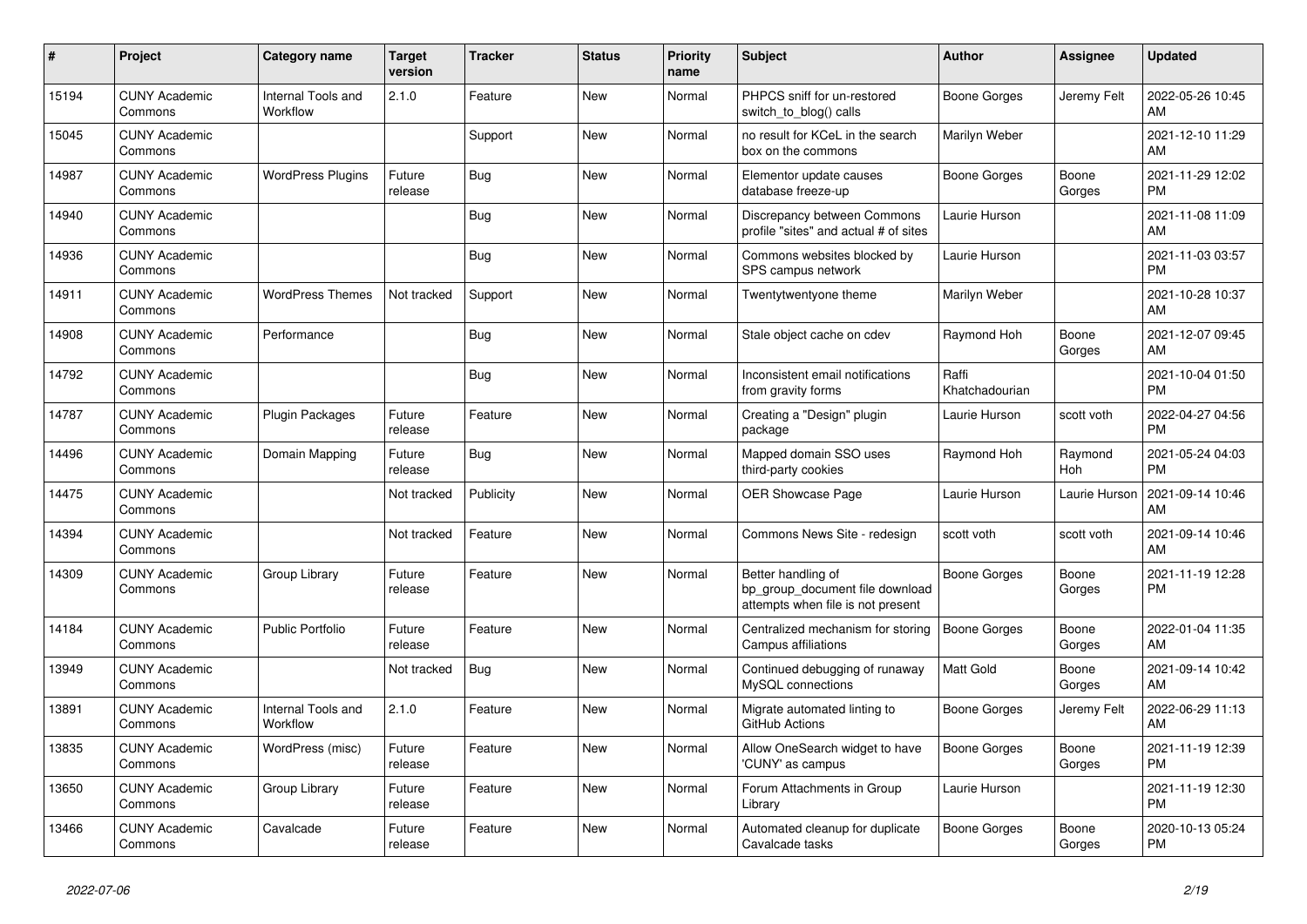| #     | Project                         | <b>Category name</b>           | <b>Target</b><br>version | <b>Tracker</b> | <b>Status</b> | <b>Priority</b><br>name | <b>Subject</b>                                                                             | Author                  | Assignee        | <b>Updated</b>                |
|-------|---------------------------------|--------------------------------|--------------------------|----------------|---------------|-------------------------|--------------------------------------------------------------------------------------------|-------------------------|-----------------|-------------------------------|
| 15194 | <b>CUNY Academic</b><br>Commons | Internal Tools and<br>Workflow | 2.1.0                    | Feature        | <b>New</b>    | Normal                  | PHPCS sniff for un-restored<br>switch_to_blog() calls                                      | Boone Gorges            | Jeremy Felt     | 2022-05-26 10:45<br>AM        |
| 15045 | <b>CUNY Academic</b><br>Commons |                                |                          | Support        | New           | Normal                  | no result for KCeL in the search<br>box on the commons                                     | Marilyn Weber           |                 | 2021-12-10 11:29<br>AM        |
| 14987 | <b>CUNY Academic</b><br>Commons | <b>WordPress Plugins</b>       | Future<br>release        | Bug            | New           | Normal                  | Elementor update causes<br>database freeze-up                                              | Boone Gorges            | Boone<br>Gorges | 2021-11-29 12:02<br><b>PM</b> |
| 14940 | <b>CUNY Academic</b><br>Commons |                                |                          | <b>Bug</b>     | <b>New</b>    | Normal                  | Discrepancy between Commons<br>profile "sites" and actual # of sites                       | Laurie Hurson           |                 | 2021-11-08 11:09<br>AM        |
| 14936 | <b>CUNY Academic</b><br>Commons |                                |                          | <b>Bug</b>     | New           | Normal                  | Commons websites blocked by<br>SPS campus network                                          | Laurie Hurson           |                 | 2021-11-03 03:57<br><b>PM</b> |
| 14911 | <b>CUNY Academic</b><br>Commons | <b>WordPress Themes</b>        | Not tracked              | Support        | New           | Normal                  | Twentytwentyone theme                                                                      | Marilyn Weber           |                 | 2021-10-28 10:37<br>AM        |
| 14908 | <b>CUNY Academic</b><br>Commons | Performance                    |                          | <b>Bug</b>     | <b>New</b>    | Normal                  | Stale object cache on cdev                                                                 | Raymond Hoh             | Boone<br>Gorges | 2021-12-07 09:45<br>AM        |
| 14792 | <b>CUNY Academic</b><br>Commons |                                |                          | Bug            | <b>New</b>    | Normal                  | Inconsistent email notifications<br>from gravity forms                                     | Raffi<br>Khatchadourian |                 | 2021-10-04 01:50<br><b>PM</b> |
| 14787 | <b>CUNY Academic</b><br>Commons | Plugin Packages                | Future<br>release        | Feature        | <b>New</b>    | Normal                  | Creating a "Design" plugin<br>package                                                      | Laurie Hurson           | scott voth      | 2022-04-27 04:56<br><b>PM</b> |
| 14496 | <b>CUNY Academic</b><br>Commons | Domain Mapping                 | Future<br>release        | <b>Bug</b>     | <b>New</b>    | Normal                  | Mapped domain SSO uses<br>third-party cookies                                              | Raymond Hoh             | Raymond<br>Hoh  | 2021-05-24 04:03<br><b>PM</b> |
| 14475 | <b>CUNY Academic</b><br>Commons |                                | Not tracked              | Publicity      | <b>New</b>    | Normal                  | OER Showcase Page                                                                          | Laurie Hurson           | Laurie Hurson   | 2021-09-14 10:46<br>AM        |
| 14394 | <b>CUNY Academic</b><br>Commons |                                | Not tracked              | Feature        | New           | Normal                  | Commons News Site - redesign                                                               | scott voth              | scott voth      | 2021-09-14 10:46<br>AM        |
| 14309 | <b>CUNY Academic</b><br>Commons | Group Library                  | Future<br>release        | Feature        | New           | Normal                  | Better handling of<br>bp group document file download<br>attempts when file is not present | Boone Gorges            | Boone<br>Gorges | 2021-11-19 12:28<br><b>PM</b> |
| 14184 | <b>CUNY Academic</b><br>Commons | <b>Public Portfolio</b>        | Future<br>release        | Feature        | New           | Normal                  | Centralized mechanism for storing<br>Campus affiliations                                   | <b>Boone Gorges</b>     | Boone<br>Gorges | 2022-01-04 11:35<br>AM        |
| 13949 | <b>CUNY Academic</b><br>Commons |                                | Not tracked              | <b>Bug</b>     | <b>New</b>    | Normal                  | Continued debugging of runaway<br>MySQL connections                                        | <b>Matt Gold</b>        | Boone<br>Gorges | 2021-09-14 10:42<br>AM        |
| 13891 | <b>CUNY Academic</b><br>Commons | Internal Tools and<br>Workflow | 2.1.0                    | Feature        | <b>New</b>    | Normal                  | Migrate automated linting to<br>GitHub Actions                                             | <b>Boone Gorges</b>     | Jeremy Felt     | 2022-06-29 11:13<br>AM        |
| 13835 | <b>CUNY Academic</b><br>Commons | WordPress (misc)               | Future<br>release        | Feature        | <b>New</b>    | Normal                  | Allow OneSearch widget to have<br>'CUNY' as campus                                         | <b>Boone Gorges</b>     | Boone<br>Gorges | 2021-11-19 12:39<br><b>PM</b> |
| 13650 | <b>CUNY Academic</b><br>Commons | Group Library                  | Future<br>release        | Feature        | <b>New</b>    | Normal                  | Forum Attachments in Group<br>Library                                                      | Laurie Hurson           |                 | 2021-11-19 12:30<br><b>PM</b> |
| 13466 | <b>CUNY Academic</b><br>Commons | Cavalcade                      | Future<br>release        | Feature        | <b>New</b>    | Normal                  | Automated cleanup for duplicate<br>Cavalcade tasks                                         | Boone Gorges            | Boone<br>Gorges | 2020-10-13 05:24<br><b>PM</b> |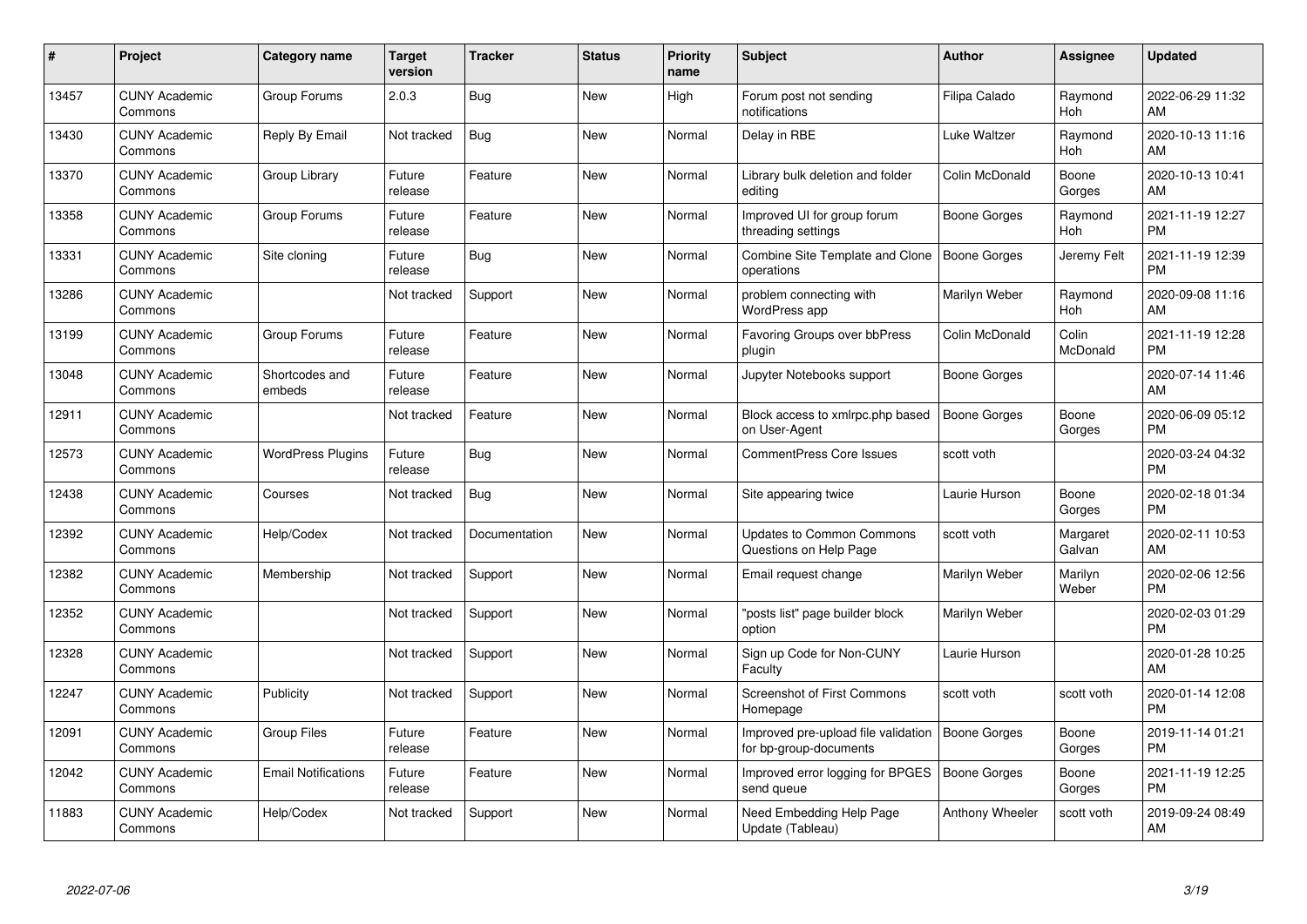| #     | <b>Project</b>                  | <b>Category name</b>       | <b>Target</b><br>version | <b>Tracker</b> | <b>Status</b> | <b>Priority</b><br>name | <b>Subject</b>                                                               | Author          | Assignee           | <b>Updated</b>                |
|-------|---------------------------------|----------------------------|--------------------------|----------------|---------------|-------------------------|------------------------------------------------------------------------------|-----------------|--------------------|-------------------------------|
| 13457 | <b>CUNY Academic</b><br>Commons | Group Forums               | 2.0.3                    | <b>Bug</b>     | <b>New</b>    | High                    | Forum post not sending<br>notifications                                      | Filipa Calado   | Raymond<br>Hoh     | 2022-06-29 11:32<br>AM        |
| 13430 | <b>CUNY Academic</b><br>Commons | Reply By Email             | Not tracked              | Bug            | New           | Normal                  | Delay in RBE                                                                 | Luke Waltzer    | Raymond<br>Hoh     | 2020-10-13 11:16<br>AM        |
| 13370 | <b>CUNY Academic</b><br>Commons | Group Library              | Future<br>release        | Feature        | <b>New</b>    | Normal                  | Library bulk deletion and folder<br>editing                                  | Colin McDonald  | Boone<br>Gorges    | 2020-10-13 10:41<br>AM        |
| 13358 | <b>CUNY Academic</b><br>Commons | Group Forums               | Future<br>release        | Feature        | New           | Normal                  | Improved UI for group forum<br>threading settings                            | Boone Gorges    | Raymond<br>Hoh     | 2021-11-19 12:27<br><b>PM</b> |
| 13331 | <b>CUNY Academic</b><br>Commons | Site cloning               | Future<br>release        | Bug            | <b>New</b>    | Normal                  | Combine Site Template and Clone<br>operations                                | Boone Gorges    | Jeremy Felt        | 2021-11-19 12:39<br><b>PM</b> |
| 13286 | <b>CUNY Academic</b><br>Commons |                            | Not tracked              | Support        | <b>New</b>    | Normal                  | problem connecting with<br>WordPress app                                     | Marilyn Weber   | Raymond<br>Hoh     | 2020-09-08 11:16<br>AM        |
| 13199 | <b>CUNY Academic</b><br>Commons | Group Forums               | Future<br>release        | Feature        | New           | Normal                  | Favoring Groups over bbPress<br>plugin                                       | Colin McDonald  | Colin<br>McDonald  | 2021-11-19 12:28<br><b>PM</b> |
| 13048 | <b>CUNY Academic</b><br>Commons | Shortcodes and<br>embeds   | Future<br>release        | Feature        | <b>New</b>    | Normal                  | Jupyter Notebooks support                                                    | Boone Gorges    |                    | 2020-07-14 11:46<br>AM        |
| 12911 | <b>CUNY Academic</b><br>Commons |                            | Not tracked              | Feature        | <b>New</b>    | Normal                  | Block access to xmlrpc.php based<br>on User-Agent                            | Boone Gorges    | Boone<br>Gorges    | 2020-06-09 05:12<br><b>PM</b> |
| 12573 | <b>CUNY Academic</b><br>Commons | <b>WordPress Plugins</b>   | Future<br>release        | Bug            | <b>New</b>    | Normal                  | <b>CommentPress Core Issues</b>                                              | scott voth      |                    | 2020-03-24 04:32<br><b>PM</b> |
| 12438 | <b>CUNY Academic</b><br>Commons | Courses                    | Not tracked              | <b>Bug</b>     | New           | Normal                  | Site appearing twice                                                         | Laurie Hurson   | Boone<br>Gorges    | 2020-02-18 01:34<br><b>PM</b> |
| 12392 | <b>CUNY Academic</b><br>Commons | Help/Codex                 | Not tracked              | Documentation  | <b>New</b>    | Normal                  | <b>Updates to Common Commons</b><br>Questions on Help Page                   | scott voth      | Margaret<br>Galvan | 2020-02-11 10:53<br>AM        |
| 12382 | <b>CUNY Academic</b><br>Commons | Membership                 | Not tracked              | Support        | New           | Normal                  | Email request change                                                         | Marilyn Weber   | Marilyn<br>Weber   | 2020-02-06 12:56<br><b>PM</b> |
| 12352 | <b>CUNY Academic</b><br>Commons |                            | Not tracked              | Support        | New           | Normal                  | "posts list" page builder block<br>option                                    | Marilyn Weber   |                    | 2020-02-03 01:29<br><b>PM</b> |
| 12328 | <b>CUNY Academic</b><br>Commons |                            | Not tracked              | Support        | New           | Normal                  | Sign up Code for Non-CUNY<br>Faculty                                         | Laurie Hurson   |                    | 2020-01-28 10:25<br>AM        |
| 12247 | <b>CUNY Academic</b><br>Commons | Publicity                  | Not tracked              | Support        | New           | Normal                  | Screenshot of First Commons<br>Homepage                                      | scott voth      | scott voth         | 2020-01-14 12:08<br><b>PM</b> |
| 12091 | <b>CUNY Academic</b><br>Commons | Group Files                | Future<br>release        | Feature        | New           | Normal                  | Improved pre-upload file validation   Boone Gorges<br>for bp-group-documents |                 | Boone<br>Gorges    | 2019-11-14 01:21<br><b>PM</b> |
| 12042 | <b>CUNY Academic</b><br>Commons | <b>Email Notifications</b> | Future<br>release        | Feature        | New           | Normal                  | Improved error logging for BPGES<br>send queue                               | Boone Gorges    | Boone<br>Gorges    | 2021-11-19 12:25<br><b>PM</b> |
| 11883 | <b>CUNY Academic</b><br>Commons | Help/Codex                 | Not tracked              | Support        | <b>New</b>    | Normal                  | Need Embedding Help Page<br>Update (Tableau)                                 | Anthony Wheeler | scott voth         | 2019-09-24 08:49<br>AM        |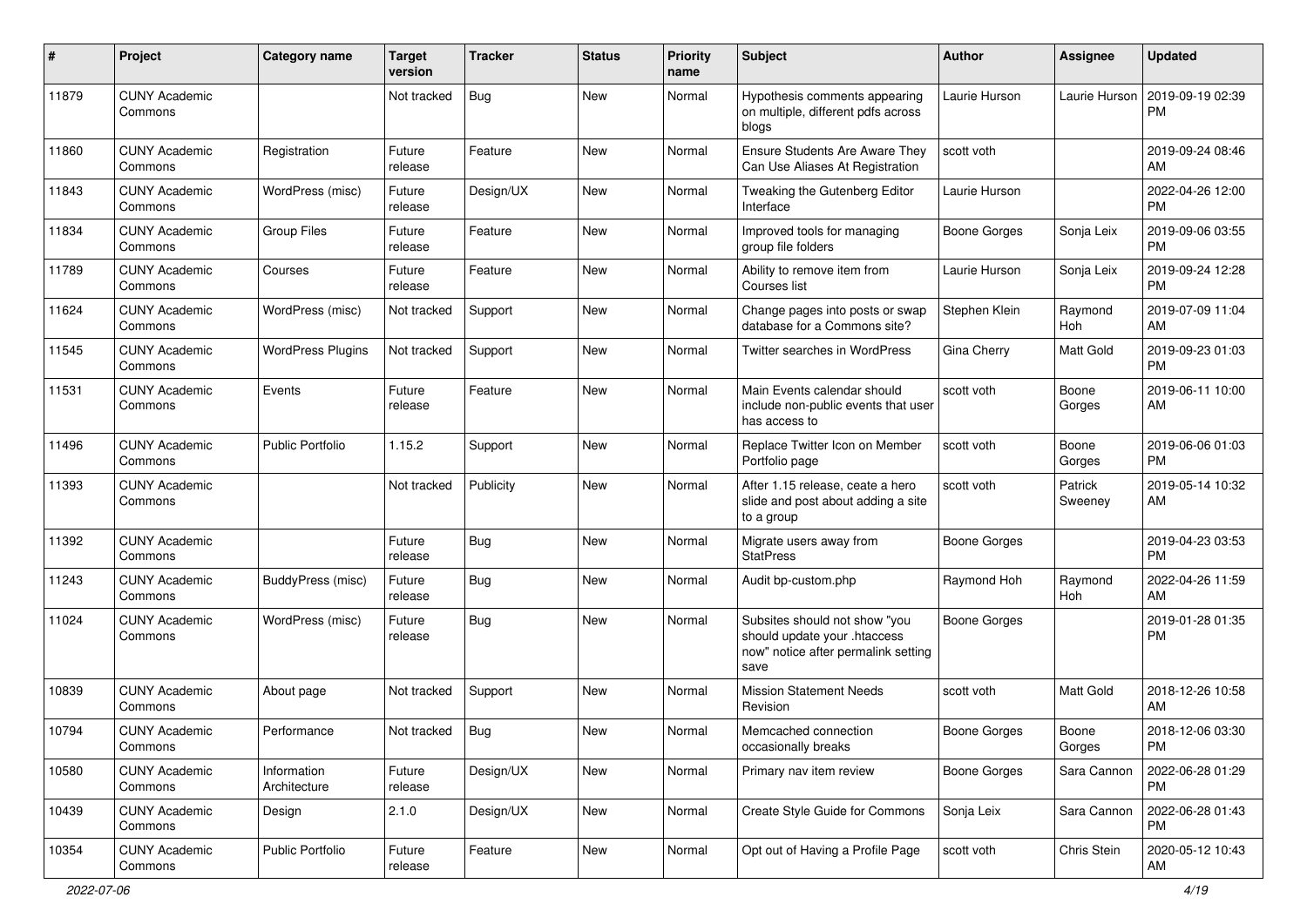| $\#$  | Project                         | <b>Category name</b>        | <b>Target</b><br>version | <b>Tracker</b> | <b>Status</b> | Priority<br>name | <b>Subject</b>                                                                                               | Author              | <b>Assignee</b>    | <b>Updated</b>                |
|-------|---------------------------------|-----------------------------|--------------------------|----------------|---------------|------------------|--------------------------------------------------------------------------------------------------------------|---------------------|--------------------|-------------------------------|
| 11879 | <b>CUNY Academic</b><br>Commons |                             | Not tracked              | <b>Bug</b>     | <b>New</b>    | Normal           | Hypothesis comments appearing<br>on multiple, different pdfs across<br>blogs                                 | Laurie Hurson       | Laurie Hurson      | 2019-09-19 02:39<br>PM        |
| 11860 | <b>CUNY Academic</b><br>Commons | Registration                | Future<br>release        | Feature        | <b>New</b>    | Normal           | Ensure Students Are Aware They<br>Can Use Aliases At Registration                                            | scott voth          |                    | 2019-09-24 08:46<br>AM        |
| 11843 | <b>CUNY Academic</b><br>Commons | WordPress (misc)            | Future<br>release        | Design/UX      | New           | Normal           | Tweaking the Gutenberg Editor<br>Interface                                                                   | Laurie Hurson       |                    | 2022-04-26 12:00<br><b>PM</b> |
| 11834 | <b>CUNY Academic</b><br>Commons | <b>Group Files</b>          | Future<br>release        | Feature        | <b>New</b>    | Normal           | Improved tools for managing<br>group file folders                                                            | Boone Gorges        | Sonja Leix         | 2019-09-06 03:55<br><b>PM</b> |
| 11789 | <b>CUNY Academic</b><br>Commons | Courses                     | Future<br>release        | Feature        | <b>New</b>    | Normal           | Ability to remove item from<br>Courses list                                                                  | Laurie Hurson       | Sonja Leix         | 2019-09-24 12:28<br><b>PM</b> |
| 11624 | <b>CUNY Academic</b><br>Commons | WordPress (misc)            | Not tracked              | Support        | New           | Normal           | Change pages into posts or swap<br>database for a Commons site?                                              | Stephen Klein       | Raymond<br>Hoh     | 2019-07-09 11:04<br>AM        |
| 11545 | <b>CUNY Academic</b><br>Commons | <b>WordPress Plugins</b>    | Not tracked              | Support        | New           | Normal           | Twitter searches in WordPress                                                                                | Gina Cherry         | Matt Gold          | 2019-09-23 01:03<br><b>PM</b> |
| 11531 | <b>CUNY Academic</b><br>Commons | Events                      | Future<br>release        | Feature        | New           | Normal           | Main Events calendar should<br>include non-public events that user<br>has access to                          | scott voth          | Boone<br>Gorges    | 2019-06-11 10:00<br>AM        |
| 11496 | <b>CUNY Academic</b><br>Commons | <b>Public Portfolio</b>     | 1.15.2                   | Support        | <b>New</b>    | Normal           | Replace Twitter Icon on Member<br>Portfolio page                                                             | scott voth          | Boone<br>Gorges    | 2019-06-06 01:03<br><b>PM</b> |
| 11393 | <b>CUNY Academic</b><br>Commons |                             | Not tracked              | Publicity      | New           | Normal           | After 1.15 release, ceate a hero<br>slide and post about adding a site<br>to a group                         | scott voth          | Patrick<br>Sweeney | 2019-05-14 10:32<br>AM        |
| 11392 | <b>CUNY Academic</b><br>Commons |                             | Future<br>release        | Bug            | <b>New</b>    | Normal           | Migrate users away from<br><b>StatPress</b>                                                                  | <b>Boone Gorges</b> |                    | 2019-04-23 03:53<br><b>PM</b> |
| 11243 | <b>CUNY Academic</b><br>Commons | BuddyPress (misc)           | Future<br>release        | <b>Bug</b>     | New           | Normal           | Audit bp-custom.php                                                                                          | Raymond Hoh         | Raymond<br>Hoh     | 2022-04-26 11:59<br>AM        |
| 11024 | <b>CUNY Academic</b><br>Commons | WordPress (misc)            | Future<br>release        | Bug            | New           | Normal           | Subsites should not show "you<br>should update your .htaccess<br>now" notice after permalink setting<br>save | <b>Boone Gorges</b> |                    | 2019-01-28 01:35<br><b>PM</b> |
| 10839 | <b>CUNY Academic</b><br>Commons | About page                  | Not tracked              | Support        | New           | Normal           | <b>Mission Statement Needs</b><br>Revision                                                                   | scott voth          | Matt Gold          | 2018-12-26 10:58<br>AM        |
| 10794 | <b>CUNY Academic</b><br>Commons | Performance                 | Not tracked              | Bug            | New           | Normal           | Memcached connection<br>occasionally breaks                                                                  | <b>Boone Gorges</b> | Boone<br>Gorges    | 2018-12-06 03:30<br>PM        |
| 10580 | <b>CUNY Academic</b><br>Commons | Information<br>Architecture | Future<br>release        | Design/UX      | New           | Normal           | Primary nav item review                                                                                      | <b>Boone Gorges</b> | Sara Cannon        | 2022-06-28 01:29<br><b>PM</b> |
| 10439 | <b>CUNY Academic</b><br>Commons | Design                      | 2.1.0                    | Design/UX      | New           | Normal           | Create Style Guide for Commons                                                                               | Sonja Leix          | Sara Cannon        | 2022-06-28 01:43<br><b>PM</b> |
| 10354 | <b>CUNY Academic</b><br>Commons | Public Portfolio            | Future<br>release        | Feature        | New           | Normal           | Opt out of Having a Profile Page                                                                             | scott voth          | Chris Stein        | 2020-05-12 10:43<br>AM        |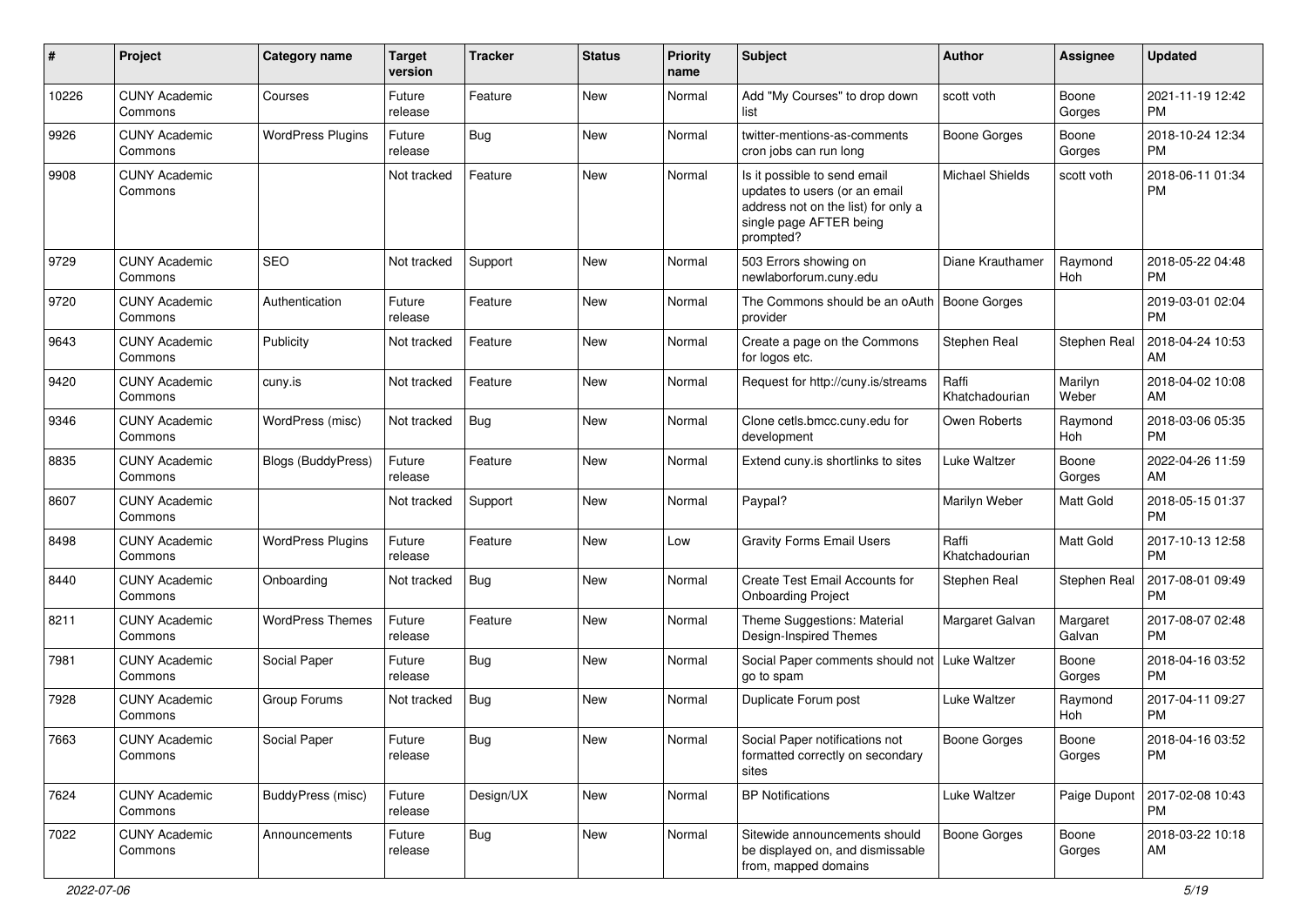| #     | Project                         | <b>Category name</b>     | <b>Target</b><br>version | <b>Tracker</b> | <b>Status</b> | Priority<br>name | <b>Subject</b>                                                                                                                               | Author                  | <b>Assignee</b>    | <b>Updated</b>                |
|-------|---------------------------------|--------------------------|--------------------------|----------------|---------------|------------------|----------------------------------------------------------------------------------------------------------------------------------------------|-------------------------|--------------------|-------------------------------|
| 10226 | <b>CUNY Academic</b><br>Commons | Courses                  | Future<br>release        | Feature        | New           | Normal           | Add "My Courses" to drop down<br>list                                                                                                        | scott voth              | Boone<br>Gorges    | 2021-11-19 12:42<br><b>PM</b> |
| 9926  | <b>CUNY Academic</b><br>Commons | <b>WordPress Plugins</b> | Future<br>release        | <b>Bug</b>     | New           | Normal           | twitter-mentions-as-comments<br>cron jobs can run long                                                                                       | <b>Boone Gorges</b>     | Boone<br>Gorges    | 2018-10-24 12:34<br><b>PM</b> |
| 9908  | <b>CUNY Academic</b><br>Commons |                          | Not tracked              | Feature        | <b>New</b>    | Normal           | Is it possible to send email<br>updates to users (or an email<br>address not on the list) for only a<br>single page AFTER being<br>prompted? | <b>Michael Shields</b>  | scott voth         | 2018-06-11 01:34<br><b>PM</b> |
| 9729  | <b>CUNY Academic</b><br>Commons | SEO                      | Not tracked              | Support        | <b>New</b>    | Normal           | 503 Errors showing on<br>newlaborforum.cuny.edu                                                                                              | Diane Krauthamer        | Raymond<br>Hoh     | 2018-05-22 04:48<br>PM        |
| 9720  | <b>CUNY Academic</b><br>Commons | Authentication           | Future<br>release        | Feature        | <b>New</b>    | Normal           | The Commons should be an oAuth   Boone Gorges<br>provider                                                                                    |                         |                    | 2019-03-01 02:04<br><b>PM</b> |
| 9643  | <b>CUNY Academic</b><br>Commons | Publicity                | Not tracked              | Feature        | New           | Normal           | Create a page on the Commons<br>for logos etc.                                                                                               | Stephen Real            | Stephen Real       | 2018-04-24 10:53<br>AM        |
| 9420  | <b>CUNY Academic</b><br>Commons | cuny.is                  | Not tracked              | Feature        | <b>New</b>    | Normal           | Request for http://cuny.is/streams                                                                                                           | Raffi<br>Khatchadourian | Marilyn<br>Weber   | 2018-04-02 10:08<br>AM        |
| 9346  | <b>CUNY Academic</b><br>Commons | WordPress (misc)         | Not tracked              | Bug            | <b>New</b>    | Normal           | Clone cetls.bmcc.cuny.edu for<br>development                                                                                                 | Owen Roberts            | Raymond<br>Hoh     | 2018-03-06 05:35<br><b>PM</b> |
| 8835  | <b>CUNY Academic</b><br>Commons | Blogs (BuddyPress)       | Future<br>release        | Feature        | New           | Normal           | Extend cuny is shortlinks to sites                                                                                                           | <b>Luke Waltzer</b>     | Boone<br>Gorges    | 2022-04-26 11:59<br>AM        |
| 8607  | <b>CUNY Academic</b><br>Commons |                          | Not tracked              | Support        | <b>New</b>    | Normal           | Paypal?                                                                                                                                      | Marilyn Weber           | Matt Gold          | 2018-05-15 01:37<br><b>PM</b> |
| 8498  | <b>CUNY Academic</b><br>Commons | <b>WordPress Plugins</b> | Future<br>release        | Feature        | <b>New</b>    | Low              | <b>Gravity Forms Email Users</b>                                                                                                             | Raffi<br>Khatchadourian | Matt Gold          | 2017-10-13 12:58<br><b>PM</b> |
| 8440  | <b>CUNY Academic</b><br>Commons | Onboarding               | Not tracked              | Bug            | <b>New</b>    | Normal           | Create Test Email Accounts for<br><b>Onboarding Project</b>                                                                                  | Stephen Real            | Stephen Real       | 2017-08-01 09:49<br><b>PM</b> |
| 8211  | <b>CUNY Academic</b><br>Commons | <b>WordPress Themes</b>  | Future<br>release        | Feature        | New           | Normal           | Theme Suggestions: Material<br>Design-Inspired Themes                                                                                        | Margaret Galvan         | Margaret<br>Galvan | 2017-08-07 02:48<br><b>PM</b> |
| 7981  | <b>CUNY Academic</b><br>Commons | Social Paper             | Future<br>release        | Bug            | <b>New</b>    | Normal           | Social Paper comments should not<br>go to spam                                                                                               | Luke Waltzer            | Boone<br>Gorges    | 2018-04-16 03:52<br><b>PM</b> |
| 7928  | <b>CUNY Academic</b><br>Commons | Group Forums             | Not tracked              | Bug            | <b>New</b>    | Normal           | Duplicate Forum post                                                                                                                         | Luke Waltzer            | Raymond<br>Hoh     | 2017-04-11 09:27<br><b>PM</b> |
| 7663  | <b>CUNY Academic</b><br>Commons | Social Paper             | Future<br>release        | Bug            | New           | Normal           | Social Paper notifications not<br>formatted correctly on secondary<br>sites                                                                  | Boone Gorges            | Boone<br>Gorges    | 2018-04-16 03:52<br><b>PM</b> |
| 7624  | <b>CUNY Academic</b><br>Commons | BuddyPress (misc)        | Future<br>release        | Design/UX      | New           | Normal           | <b>BP Notifications</b>                                                                                                                      | Luke Waltzer            | Paige Dupont       | 2017-02-08 10:43<br>PM        |
| 7022  | <b>CUNY Academic</b><br>Commons | Announcements            | Future<br>release        | Bug            | New           | Normal           | Sitewide announcements should<br>be displayed on, and dismissable<br>from, mapped domains                                                    | <b>Boone Gorges</b>     | Boone<br>Gorges    | 2018-03-22 10:18<br>AM        |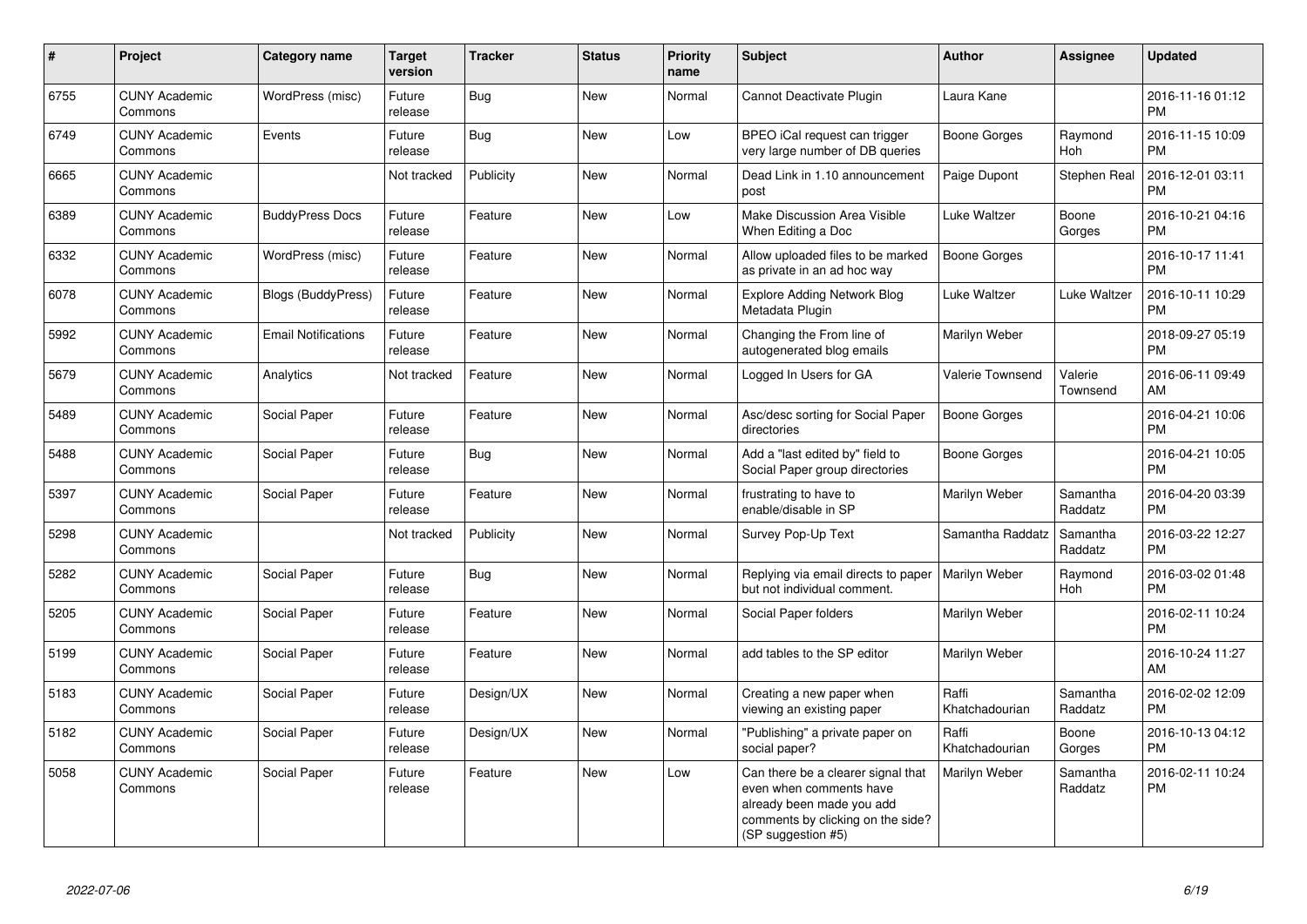| #    | <b>Project</b>                  | <b>Category name</b>       | <b>Target</b><br>version | <b>Tracker</b> | <b>Status</b> | <b>Priority</b><br>name | <b>Subject</b>                                                                                                                                        | <b>Author</b>           | Assignee            | <b>Updated</b>                |
|------|---------------------------------|----------------------------|--------------------------|----------------|---------------|-------------------------|-------------------------------------------------------------------------------------------------------------------------------------------------------|-------------------------|---------------------|-------------------------------|
| 6755 | <b>CUNY Academic</b><br>Commons | WordPress (misc)           | Future<br>release        | <b>Bug</b>     | <b>New</b>    | Normal                  | Cannot Deactivate Plugin                                                                                                                              | Laura Kane              |                     | 2016-11-16 01:12<br><b>PM</b> |
| 6749 | <b>CUNY Academic</b><br>Commons | Events                     | Future<br>release        | Bug            | <b>New</b>    | Low                     | BPEO iCal request can trigger<br>very large number of DB queries                                                                                      | Boone Gorges            | Raymond<br>Hoh      | 2016-11-15 10:09<br><b>PM</b> |
| 6665 | <b>CUNY Academic</b><br>Commons |                            | Not tracked              | Publicity      | <b>New</b>    | Normal                  | Dead Link in 1.10 announcement<br>post                                                                                                                | Paige Dupont            | Stephen Real        | 2016-12-01 03:11<br><b>PM</b> |
| 6389 | <b>CUNY Academic</b><br>Commons | <b>BuddyPress Docs</b>     | Future<br>release        | Feature        | <b>New</b>    | Low                     | Make Discussion Area Visible<br>When Editing a Doc                                                                                                    | Luke Waltzer            | Boone<br>Gorges     | 2016-10-21 04:16<br><b>PM</b> |
| 6332 | <b>CUNY Academic</b><br>Commons | WordPress (misc)           | Future<br>release        | Feature        | <b>New</b>    | Normal                  | Allow uploaded files to be marked<br>as private in an ad hoc way                                                                                      | <b>Boone Gorges</b>     |                     | 2016-10-17 11:41<br><b>PM</b> |
| 6078 | <b>CUNY Academic</b><br>Commons | <b>Blogs (BuddyPress)</b>  | Future<br>release        | Feature        | New           | Normal                  | <b>Explore Adding Network Blog</b><br>Metadata Plugin                                                                                                 | Luke Waltzer            | Luke Waltzer        | 2016-10-11 10:29<br><b>PM</b> |
| 5992 | <b>CUNY Academic</b><br>Commons | <b>Email Notifications</b> | Future<br>release        | Feature        | New           | Normal                  | Changing the From line of<br>autogenerated blog emails                                                                                                | Marilyn Weber           |                     | 2018-09-27 05:19<br><b>PM</b> |
| 5679 | <b>CUNY Academic</b><br>Commons | Analytics                  | Not tracked              | Feature        | <b>New</b>    | Normal                  | Logged In Users for GA                                                                                                                                | Valerie Townsend        | Valerie<br>Townsend | 2016-06-11 09:49<br>AM        |
| 5489 | <b>CUNY Academic</b><br>Commons | Social Paper               | Future<br>release        | Feature        | <b>New</b>    | Normal                  | Asc/desc sorting for Social Paper<br>directories                                                                                                      | <b>Boone Gorges</b>     |                     | 2016-04-21 10:06<br><b>PM</b> |
| 5488 | <b>CUNY Academic</b><br>Commons | Social Paper               | Future<br>release        | <b>Bug</b>     | <b>New</b>    | Normal                  | Add a "last edited by" field to<br>Social Paper group directories                                                                                     | Boone Gorges            |                     | 2016-04-21 10:05<br><b>PM</b> |
| 5397 | <b>CUNY Academic</b><br>Commons | Social Paper               | Future<br>release        | Feature        | New           | Normal                  | frustrating to have to<br>enable/disable in SP                                                                                                        | Marilyn Weber           | Samantha<br>Raddatz | 2016-04-20 03:39<br><b>PM</b> |
| 5298 | <b>CUNY Academic</b><br>Commons |                            | Not tracked              | Publicity      | <b>New</b>    | Normal                  | Survey Pop-Up Text                                                                                                                                    | Samantha Raddatz        | Samantha<br>Raddatz | 2016-03-22 12:27<br><b>PM</b> |
| 5282 | <b>CUNY Academic</b><br>Commons | Social Paper               | Future<br>release        | Bug            | New           | Normal                  | Replying via email directs to paper<br>but not individual comment.                                                                                    | Marilyn Weber           | Raymond<br>Hoh      | 2016-03-02 01:48<br><b>PM</b> |
| 5205 | <b>CUNY Academic</b><br>Commons | Social Paper               | Future<br>release        | Feature        | <b>New</b>    | Normal                  | Social Paper folders                                                                                                                                  | Marilyn Weber           |                     | 2016-02-11 10:24<br><b>PM</b> |
| 5199 | <b>CUNY Academic</b><br>Commons | Social Paper               | Future<br>release        | Feature        | <b>New</b>    | Normal                  | add tables to the SP editor                                                                                                                           | Marilyn Weber           |                     | 2016-10-24 11:27<br>AM        |
| 5183 | <b>CUNY Academic</b><br>Commons | Social Paper               | Future<br>release        | Design/UX      | <b>New</b>    | Normal                  | Creating a new paper when<br>viewing an existing paper                                                                                                | Raffi<br>Khatchadourian | Samantha<br>Raddatz | 2016-02-02 12:09<br><b>PM</b> |
| 5182 | <b>CUNY Academic</b><br>Commons | Social Paper               | Future<br>release        | Design/UX      | New           | Normal                  | "Publishing" a private paper on<br>social paper?                                                                                                      | Raffi<br>Khatchadourian | Boone<br>Gorges     | 2016-10-13 04:12<br><b>PM</b> |
| 5058 | <b>CUNY Academic</b><br>Commons | Social Paper               | Future<br>release        | Feature        | New           | Low                     | Can there be a clearer signal that<br>even when comments have<br>already been made you add<br>comments by clicking on the side?<br>(SP suggestion #5) | Marilyn Weber           | Samantha<br>Raddatz | 2016-02-11 10:24<br><b>PM</b> |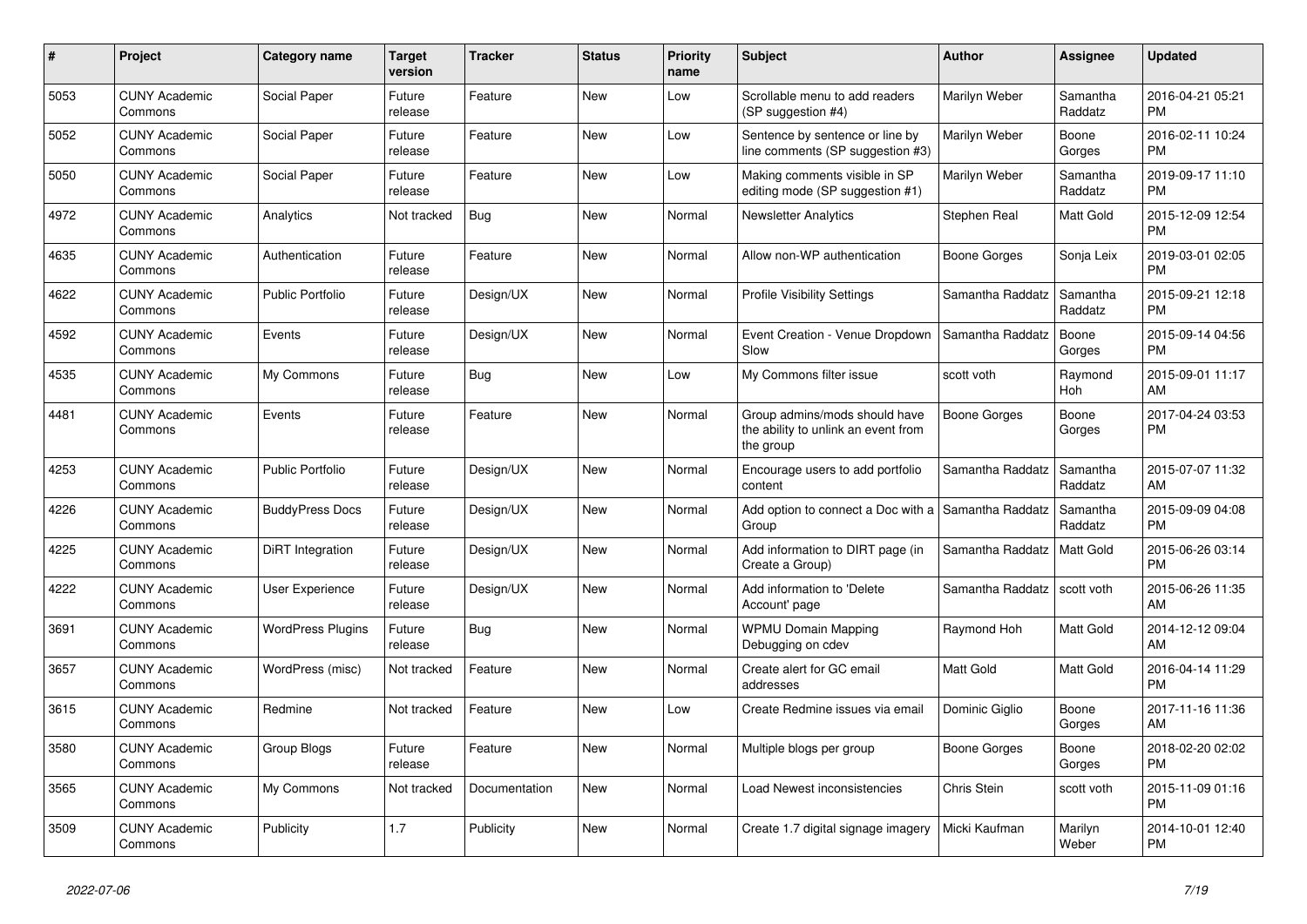| $\#$ | Project                         | Category name            | <b>Target</b><br>version | <b>Tracker</b> | <b>Status</b> | <b>Priority</b><br>name | <b>Subject</b>                                                                    | <b>Author</b>    | Assignee            | <b>Updated</b>                |
|------|---------------------------------|--------------------------|--------------------------|----------------|---------------|-------------------------|-----------------------------------------------------------------------------------|------------------|---------------------|-------------------------------|
| 5053 | <b>CUNY Academic</b><br>Commons | Social Paper             | Future<br>release        | Feature        | <b>New</b>    | Low                     | Scrollable menu to add readers<br>(SP suggestion #4)                              | Marilyn Weber    | Samantha<br>Raddatz | 2016-04-21 05:21<br><b>PM</b> |
| 5052 | <b>CUNY Academic</b><br>Commons | Social Paper             | Future<br>release        | Feature        | New           | Low                     | Sentence by sentence or line by<br>line comments (SP suggestion #3)               | Marilyn Weber    | Boone<br>Gorges     | 2016-02-11 10:24<br><b>PM</b> |
| 5050 | <b>CUNY Academic</b><br>Commons | Social Paper             | Future<br>release        | Feature        | <b>New</b>    | Low                     | Making comments visible in SP<br>editing mode (SP suggestion #1)                  | Marilyn Weber    | Samantha<br>Raddatz | 2019-09-17 11:10<br><b>PM</b> |
| 4972 | <b>CUNY Academic</b><br>Commons | Analytics                | Not tracked              | <b>Bug</b>     | <b>New</b>    | Normal                  | <b>Newsletter Analytics</b>                                                       | Stephen Real     | Matt Gold           | 2015-12-09 12:54<br><b>PM</b> |
| 4635 | <b>CUNY Academic</b><br>Commons | Authentication           | Future<br>release        | Feature        | New           | Normal                  | Allow non-WP authentication                                                       | Boone Gorges     | Sonja Leix          | 2019-03-01 02:05<br><b>PM</b> |
| 4622 | <b>CUNY Academic</b><br>Commons | Public Portfolio         | Future<br>release        | Design/UX      | New           | Normal                  | <b>Profile Visibility Settings</b>                                                | Samantha Raddatz | Samantha<br>Raddatz | 2015-09-21 12:18<br><b>PM</b> |
| 4592 | <b>CUNY Academic</b><br>Commons | Events                   | Future<br>release        | Design/UX      | <b>New</b>    | Normal                  | Event Creation - Venue Dropdown<br>Slow                                           | Samantha Raddatz | Boone<br>Gorges     | 2015-09-14 04:56<br><b>PM</b> |
| 4535 | <b>CUNY Academic</b><br>Commons | My Commons               | Future<br>release        | Bug            | <b>New</b>    | Low                     | My Commons filter issue                                                           | scott voth       | Raymond<br>Hoh      | 2015-09-01 11:17<br>AM        |
| 4481 | <b>CUNY Academic</b><br>Commons | Events                   | Future<br>release        | Feature        | <b>New</b>    | Normal                  | Group admins/mods should have<br>the ability to unlink an event from<br>the group | Boone Gorges     | Boone<br>Gorges     | 2017-04-24 03:53<br><b>PM</b> |
| 4253 | <b>CUNY Academic</b><br>Commons | <b>Public Portfolio</b>  | Future<br>release        | Design/UX      | New           | Normal                  | Encourage users to add portfolio<br>content                                       | Samantha Raddatz | Samantha<br>Raddatz | 2015-07-07 11:32<br>AM        |
| 4226 | <b>CUNY Academic</b><br>Commons | <b>BuddyPress Docs</b>   | Future<br>release        | Design/UX      | New           | Normal                  | Add option to connect a Doc with a<br>Group                                       | Samantha Raddatz | Samantha<br>Raddatz | 2015-09-09 04:08<br><b>PM</b> |
| 4225 | <b>CUNY Academic</b><br>Commons | DiRT Integration         | Future<br>release        | Design/UX      | <b>New</b>    | Normal                  | Add information to DIRT page (in<br>Create a Group)                               | Samantha Raddatz | Matt Gold           | 2015-06-26 03:14<br><b>PM</b> |
| 4222 | <b>CUNY Academic</b><br>Commons | User Experience          | Future<br>release        | Design/UX      | <b>New</b>    | Normal                  | Add information to 'Delete<br>Account' page                                       | Samantha Raddatz | scott voth          | 2015-06-26 11:35<br>AM        |
| 3691 | <b>CUNY Academic</b><br>Commons | <b>WordPress Plugins</b> | Future<br>release        | <b>Bug</b>     | New           | Normal                  | <b>WPMU Domain Mapping</b><br>Debugging on cdev                                   | Raymond Hoh      | Matt Gold           | 2014-12-12 09:04<br>AM        |
| 3657 | <b>CUNY Academic</b><br>Commons | WordPress (misc)         | Not tracked              | Feature        | <b>New</b>    | Normal                  | Create alert for GC email<br>addresses                                            | Matt Gold        | Matt Gold           | 2016-04-14 11:29<br><b>PM</b> |
| 3615 | <b>CUNY Academic</b><br>Commons | Redmine                  | Not tracked              | Feature        | <b>New</b>    | Low                     | Create Redmine issues via email                                                   | Dominic Giglio   | Boone<br>Gorges     | 2017-11-16 11:36<br>AM        |
| 3580 | <b>CUNY Academic</b><br>Commons | Group Blogs              | Future<br>release        | Feature        | New           | Normal                  | Multiple blogs per group                                                          | Boone Gorges     | Boone<br>Gorges     | 2018-02-20 02:02<br><b>PM</b> |
| 3565 | <b>CUNY Academic</b><br>Commons | My Commons               | Not tracked              | Documentation  | New           | Normal                  | Load Newest inconsistencies                                                       | Chris Stein      | scott voth          | 2015-11-09 01:16<br><b>PM</b> |
| 3509 | <b>CUNY Academic</b><br>Commons | Publicity                | 1.7                      | Publicity      | <b>New</b>    | Normal                  | Create 1.7 digital signage imagery                                                | Micki Kaufman    | Marilyn<br>Weber    | 2014-10-01 12:40<br><b>PM</b> |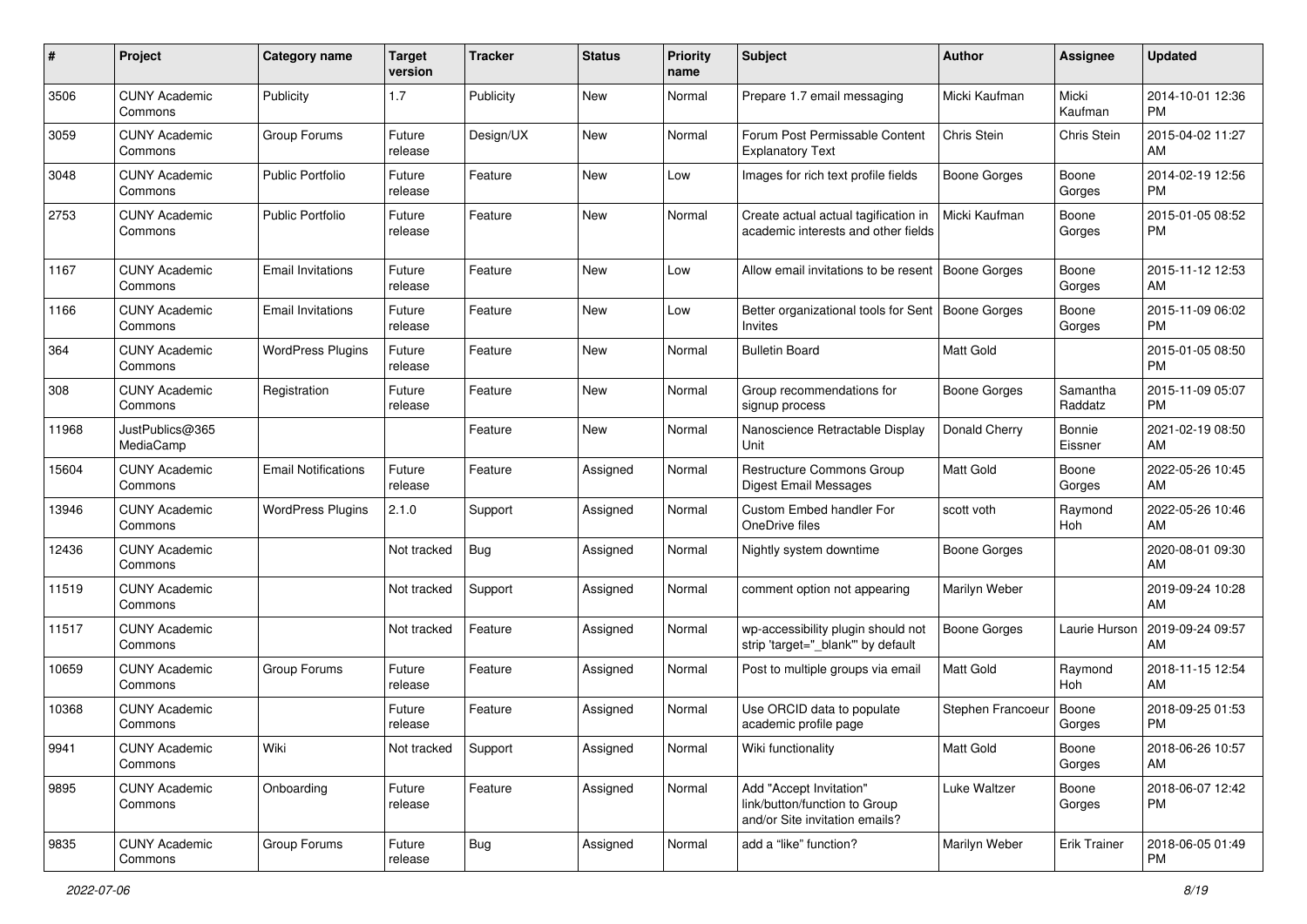| $\#$  | Project                         | <b>Category name</b>       | <b>Target</b><br>version | <b>Tracker</b> | <b>Status</b> | <b>Priority</b><br>name | <b>Subject</b>                                                                             | <b>Author</b>       | <b>Assignee</b>     | <b>Updated</b>                |
|-------|---------------------------------|----------------------------|--------------------------|----------------|---------------|-------------------------|--------------------------------------------------------------------------------------------|---------------------|---------------------|-------------------------------|
| 3506  | <b>CUNY Academic</b><br>Commons | Publicity                  | 1.7                      | Publicity      | New           | Normal                  | Prepare 1.7 email messaging                                                                | Micki Kaufman       | Micki<br>Kaufman    | 2014-10-01 12:36<br><b>PM</b> |
| 3059  | <b>CUNY Academic</b><br>Commons | Group Forums               | Future<br>release        | Design/UX      | New           | Normal                  | Forum Post Permissable Content<br><b>Explanatory Text</b>                                  | Chris Stein         | Chris Stein         | 2015-04-02 11:27<br>AM        |
| 3048  | <b>CUNY Academic</b><br>Commons | <b>Public Portfolio</b>    | Future<br>release        | Feature        | New           | Low                     | Images for rich text profile fields                                                        | <b>Boone Gorges</b> | Boone<br>Gorges     | 2014-02-19 12:56<br><b>PM</b> |
| 2753  | <b>CUNY Academic</b><br>Commons | <b>Public Portfolio</b>    | Future<br>release        | Feature        | New           | Normal                  | Create actual actual tagification in<br>academic interests and other fields                | Micki Kaufman       | Boone<br>Gorges     | 2015-01-05 08:52<br><b>PM</b> |
| 1167  | <b>CUNY Academic</b><br>Commons | <b>Email Invitations</b>   | Future<br>release        | Feature        | New           | Low                     | Allow email invitations to be resent                                                       | Boone Gorges        | Boone<br>Gorges     | 2015-11-12 12:53<br>AM        |
| 1166  | <b>CUNY Academic</b><br>Commons | <b>Email Invitations</b>   | Future<br>release        | Feature        | New           | Low                     | Better organizational tools for Sent<br>Invites                                            | Boone Gorges        | Boone<br>Gorges     | 2015-11-09 06:02<br><b>PM</b> |
| 364   | <b>CUNY Academic</b><br>Commons | <b>WordPress Plugins</b>   | Future<br>release        | Feature        | New           | Normal                  | <b>Bulletin Board</b>                                                                      | Matt Gold           |                     | 2015-01-05 08:50<br><b>PM</b> |
| 308   | <b>CUNY Academic</b><br>Commons | Registration               | Future<br>release        | Feature        | New           | Normal                  | Group recommendations for<br>signup process                                                | <b>Boone Gorges</b> | Samantha<br>Raddatz | 2015-11-09 05:07<br><b>PM</b> |
| 11968 | JustPublics@365<br>MediaCamp    |                            |                          | Feature        | New           | Normal                  | Nanoscience Retractable Display<br>Unit                                                    | Donald Cherry       | Bonnie<br>Eissner   | 2021-02-19 08:50<br>AM        |
| 15604 | <b>CUNY Academic</b><br>Commons | <b>Email Notifications</b> | Future<br>release        | Feature        | Assigned      | Normal                  | Restructure Commons Group<br><b>Digest Email Messages</b>                                  | <b>Matt Gold</b>    | Boone<br>Gorges     | 2022-05-26 10:45<br>AM        |
| 13946 | <b>CUNY Academic</b><br>Commons | <b>WordPress Plugins</b>   | 2.1.0                    | Support        | Assigned      | Normal                  | Custom Embed handler For<br>OneDrive files                                                 | scott voth          | Raymond<br>Hoh      | 2022-05-26 10:46<br>AM        |
| 12436 | <b>CUNY Academic</b><br>Commons |                            | Not tracked              | Bug            | Assigned      | Normal                  | Nightly system downtime                                                                    | Boone Gorges        |                     | 2020-08-01 09:30<br>AM        |
| 11519 | <b>CUNY Academic</b><br>Commons |                            | Not tracked              | Support        | Assigned      | Normal                  | comment option not appearing                                                               | Marilyn Weber       |                     | 2019-09-24 10:28<br>AM        |
| 11517 | <b>CUNY Academic</b><br>Commons |                            | Not tracked              | Feature        | Assigned      | Normal                  | wp-accessibility plugin should not<br>strip 'target=" blank" by default                    | <b>Boone Gorges</b> | Laurie Hurson       | 2019-09-24 09:57<br>AM        |
| 10659 | <b>CUNY Academic</b><br>Commons | Group Forums               | Future<br>release        | Feature        | Assigned      | Normal                  | Post to multiple groups via email                                                          | Matt Gold           | Raymond<br>Hoh      | 2018-11-15 12:54<br>AM        |
| 10368 | <b>CUNY Academic</b><br>Commons |                            | Future<br>release        | Feature        | Assigned      | Normal                  | Use ORCID data to populate<br>academic profile page                                        | Stephen Francoeur   | Boone<br>Gorges     | 2018-09-25 01:53<br><b>PM</b> |
| 9941  | <b>CUNY Academic</b><br>Commons | Wiki                       | Not tracked              | Support        | Assigned      | Normal                  | Wiki functionality                                                                         | Matt Gold           | Boone<br>Gorges     | 2018-06-26 10:57<br>AM        |
| 9895  | <b>CUNY Academic</b><br>Commons | Onboarding                 | Future<br>release        | Feature        | Assigned      | Normal                  | Add "Accept Invitation"<br>link/button/function to Group<br>and/or Site invitation emails? | Luke Waltzer        | Boone<br>Gorges     | 2018-06-07 12:42<br><b>PM</b> |
| 9835  | <b>CUNY Academic</b><br>Commons | Group Forums               | Future<br>release        | Bug            | Assigned      | Normal                  | add a "like" function?                                                                     | Marilyn Weber       | <b>Erik Trainer</b> | 2018-06-05 01:49<br>PM        |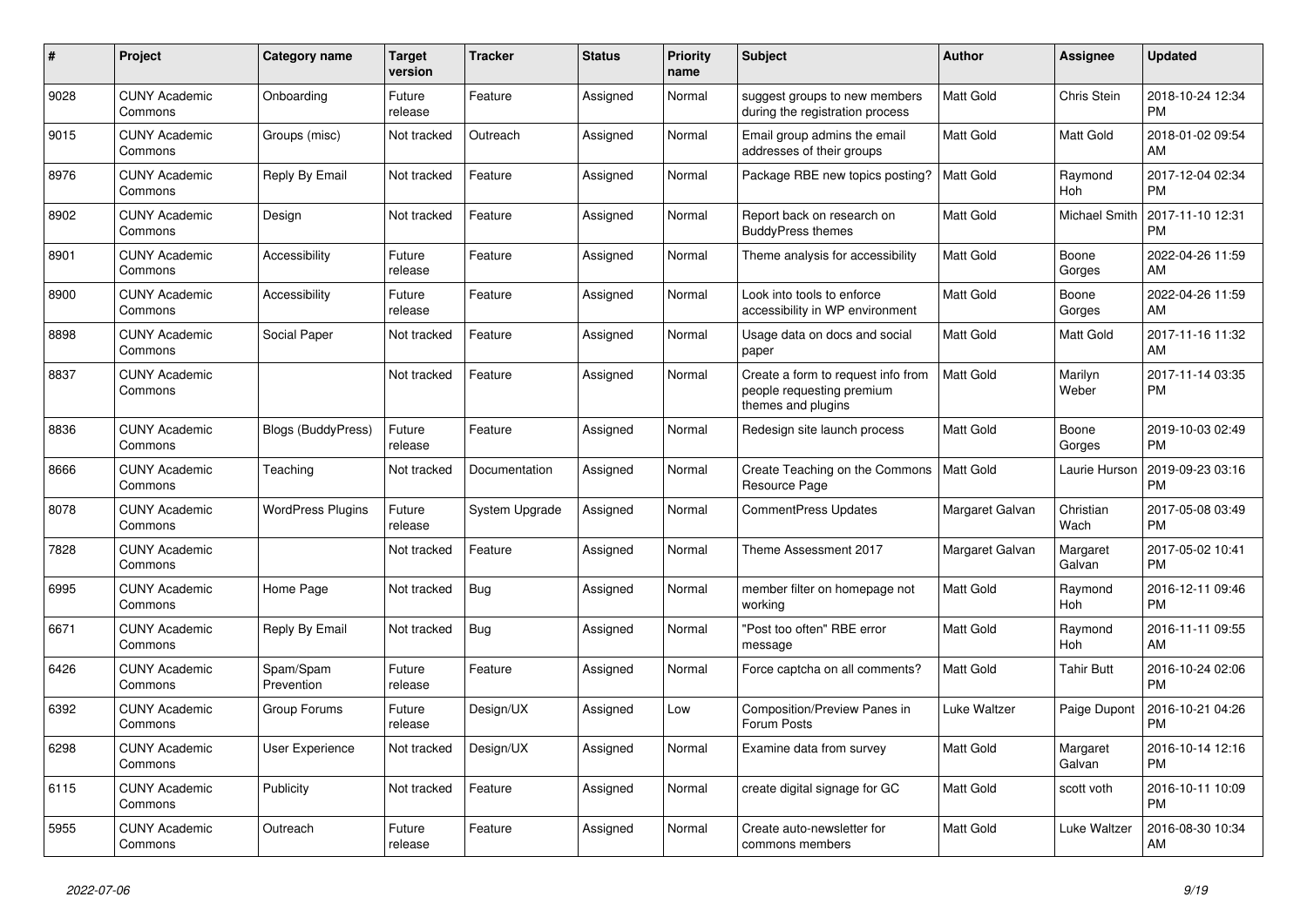| $\#$ | Project                         | <b>Category name</b>      | <b>Target</b><br>version | <b>Tracker</b> | <b>Status</b> | <b>Priority</b><br>name | <b>Subject</b>                                                                        | <b>Author</b>    | Assignee           | <b>Updated</b>                |
|------|---------------------------------|---------------------------|--------------------------|----------------|---------------|-------------------------|---------------------------------------------------------------------------------------|------------------|--------------------|-------------------------------|
| 9028 | <b>CUNY Academic</b><br>Commons | Onboarding                | Future<br>release        | Feature        | Assigned      | Normal                  | suggest groups to new members<br>during the registration process                      | Matt Gold        | Chris Stein        | 2018-10-24 12:34<br><b>PM</b> |
| 9015 | <b>CUNY Academic</b><br>Commons | Groups (misc)             | Not tracked              | Outreach       | Assigned      | Normal                  | Email group admins the email<br>addresses of their groups                             | Matt Gold        | Matt Gold          | 2018-01-02 09:54<br>AM        |
| 8976 | <b>CUNY Academic</b><br>Commons | Reply By Email            | Not tracked              | Feature        | Assigned      | Normal                  | Package RBE new topics posting?                                                       | Matt Gold        | Raymond<br>Hoh     | 2017-12-04 02:34<br><b>PM</b> |
| 8902 | <b>CUNY Academic</b><br>Commons | Design                    | Not tracked              | Feature        | Assigned      | Normal                  | Report back on research on<br><b>BuddyPress themes</b>                                | <b>Matt Gold</b> | Michael Smith      | 2017-11-10 12:31<br><b>PM</b> |
| 8901 | <b>CUNY Academic</b><br>Commons | Accessibility             | Future<br>release        | Feature        | Assigned      | Normal                  | Theme analysis for accessibility                                                      | <b>Matt Gold</b> | Boone<br>Gorges    | 2022-04-26 11:59<br>AM        |
| 8900 | <b>CUNY Academic</b><br>Commons | Accessibility             | Future<br>release        | Feature        | Assigned      | Normal                  | Look into tools to enforce<br>accessibility in WP environment                         | Matt Gold        | Boone<br>Gorges    | 2022-04-26 11:59<br>AM        |
| 8898 | <b>CUNY Academic</b><br>Commons | Social Paper              | Not tracked              | Feature        | Assigned      | Normal                  | Usage data on docs and social<br>paper                                                | <b>Matt Gold</b> | Matt Gold          | 2017-11-16 11:32<br>AM        |
| 8837 | <b>CUNY Academic</b><br>Commons |                           | Not tracked              | Feature        | Assigned      | Normal                  | Create a form to request info from<br>people requesting premium<br>themes and plugins | <b>Matt Gold</b> | Marilyn<br>Weber   | 2017-11-14 03:35<br><b>PM</b> |
| 8836 | <b>CUNY Academic</b><br>Commons | <b>Blogs (BuddyPress)</b> | Future<br>release        | Feature        | Assigned      | Normal                  | Redesign site launch process                                                          | <b>Matt Gold</b> | Boone<br>Gorges    | 2019-10-03 02:49<br><b>PM</b> |
| 8666 | <b>CUNY Academic</b><br>Commons | Teaching                  | Not tracked              | Documentation  | Assigned      | Normal                  | Create Teaching on the Commons<br>Resource Page                                       | Matt Gold        | Laurie Hurson      | 2019-09-23 03:16<br><b>PM</b> |
| 8078 | <b>CUNY Academic</b><br>Commons | <b>WordPress Plugins</b>  | Future<br>release        | System Upgrade | Assigned      | Normal                  | <b>CommentPress Updates</b>                                                           | Margaret Galvan  | Christian<br>Wach  | 2017-05-08 03:49<br><b>PM</b> |
| 7828 | <b>CUNY Academic</b><br>Commons |                           | Not tracked              | Feature        | Assigned      | Normal                  | Theme Assessment 2017                                                                 | Margaret Galvan  | Margaret<br>Galvan | 2017-05-02 10:41<br><b>PM</b> |
| 6995 | <b>CUNY Academic</b><br>Commons | Home Page                 | Not tracked              | Bug            | Assigned      | Normal                  | member filter on homepage not<br>working                                              | Matt Gold        | Raymond<br>Hoh     | 2016-12-11 09:46<br><b>PM</b> |
| 6671 | <b>CUNY Academic</b><br>Commons | Reply By Email            | Not tracked              | <b>Bug</b>     | Assigned      | Normal                  | "Post too often" RBE error<br>message                                                 | Matt Gold        | Raymond<br>Hoh     | 2016-11-11 09:55<br>AM        |
| 6426 | <b>CUNY Academic</b><br>Commons | Spam/Spam<br>Prevention   | Future<br>release        | Feature        | Assigned      | Normal                  | Force captcha on all comments?                                                        | Matt Gold        | <b>Tahir Butt</b>  | 2016-10-24 02:06<br><b>PM</b> |
| 6392 | <b>CUNY Academic</b><br>Commons | Group Forums              | Future<br>release        | Design/UX      | Assigned      | Low                     | <b>Composition/Preview Panes in</b><br>Forum Posts                                    | Luke Waltzer     | Paige Dupont       | 2016-10-21 04:26<br><b>PM</b> |
| 6298 | <b>CUNY Academic</b><br>Commons | User Experience           | Not tracked              | Design/UX      | Assigned      | Normal                  | Examine data from survey                                                              | Matt Gold        | Margaret<br>Galvan | 2016-10-14 12:16<br><b>PM</b> |
| 6115 | <b>CUNY Academic</b><br>Commons | Publicity                 | Not tracked              | Feature        | Assigned      | Normal                  | create digital signage for GC                                                         | Matt Gold        | scott voth         | 2016-10-11 10:09<br><b>PM</b> |
| 5955 | <b>CUNY Academic</b><br>Commons | Outreach                  | Future<br>release        | Feature        | Assigned      | Normal                  | Create auto-newsletter for<br>commons members                                         | <b>Matt Gold</b> | Luke Waltzer       | 2016-08-30 10:34<br>AM        |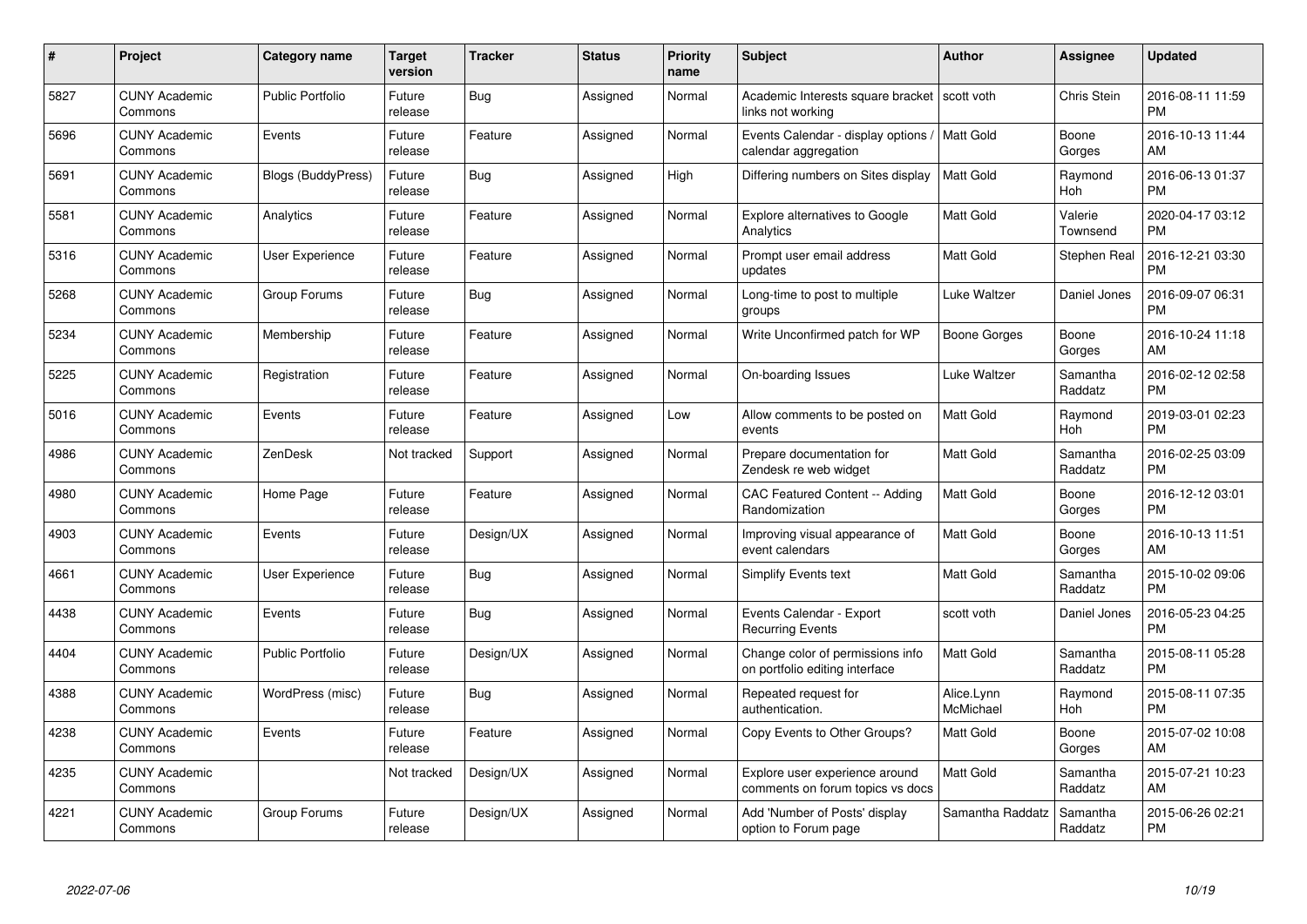| $\#$ | Project                         | <b>Category name</b>      | <b>Target</b><br>version | <b>Tracker</b> | <b>Status</b> | <b>Priority</b><br>name | <b>Subject</b>                                                      | <b>Author</b>           | <b>Assignee</b>     | <b>Updated</b>                |
|------|---------------------------------|---------------------------|--------------------------|----------------|---------------|-------------------------|---------------------------------------------------------------------|-------------------------|---------------------|-------------------------------|
| 5827 | <b>CUNY Academic</b><br>Commons | <b>Public Portfolio</b>   | Future<br>release        | Bug            | Assigned      | Normal                  | Academic Interests square bracket   scott voth<br>links not working |                         | <b>Chris Stein</b>  | 2016-08-11 11:59<br><b>PM</b> |
| 5696 | <b>CUNY Academic</b><br>Commons | Events                    | Future<br>release        | Feature        | Assigned      | Normal                  | Events Calendar - display options /<br>calendar aggregation         | Matt Gold               | Boone<br>Gorges     | 2016-10-13 11:44<br>AM        |
| 5691 | <b>CUNY Academic</b><br>Commons | <b>Blogs (BuddyPress)</b> | Future<br>release        | <b>Bug</b>     | Assigned      | High                    | Differing numbers on Sites display                                  | <b>Matt Gold</b>        | Raymond<br>Hoh      | 2016-06-13 01:37<br><b>PM</b> |
| 5581 | <b>CUNY Academic</b><br>Commons | Analytics                 | Future<br>release        | Feature        | Assigned      | Normal                  | <b>Explore alternatives to Google</b><br>Analytics                  | <b>Matt Gold</b>        | Valerie<br>Townsend | 2020-04-17 03:12<br><b>PM</b> |
| 5316 | <b>CUNY Academic</b><br>Commons | <b>User Experience</b>    | Future<br>release        | Feature        | Assigned      | Normal                  | Prompt user email address<br>updates                                | <b>Matt Gold</b>        | Stephen Real        | 2016-12-21 03:30<br><b>PM</b> |
| 5268 | <b>CUNY Academic</b><br>Commons | Group Forums              | Future<br>release        | Bug            | Assigned      | Normal                  | Long-time to post to multiple<br>groups                             | Luke Waltzer            | Daniel Jones        | 2016-09-07 06:31<br><b>PM</b> |
| 5234 | <b>CUNY Academic</b><br>Commons | Membership                | Future<br>release        | Feature        | Assigned      | Normal                  | Write Unconfirmed patch for WP                                      | Boone Gorges            | Boone<br>Gorges     | 2016-10-24 11:18<br>AM        |
| 5225 | <b>CUNY Academic</b><br>Commons | Registration              | Future<br>release        | Feature        | Assigned      | Normal                  | On-boarding Issues                                                  | Luke Waltzer            | Samantha<br>Raddatz | 2016-02-12 02:58<br><b>PM</b> |
| 5016 | <b>CUNY Academic</b><br>Commons | Events                    | Future<br>release        | Feature        | Assigned      | Low                     | Allow comments to be posted on<br>events                            | <b>Matt Gold</b>        | Raymond<br>Hoh      | 2019-03-01 02:23<br><b>PM</b> |
| 4986 | <b>CUNY Academic</b><br>Commons | ZenDesk                   | Not tracked              | Support        | Assigned      | Normal                  | Prepare documentation for<br>Zendesk re web widget                  | <b>Matt Gold</b>        | Samantha<br>Raddatz | 2016-02-25 03:09<br>PM        |
| 4980 | <b>CUNY Academic</b><br>Commons | Home Page                 | Future<br>release        | Feature        | Assigned      | Normal                  | <b>CAC Featured Content -- Adding</b><br>Randomization              | Matt Gold               | Boone<br>Gorges     | 2016-12-12 03:01<br><b>PM</b> |
| 4903 | <b>CUNY Academic</b><br>Commons | Events                    | Future<br>release        | Design/UX      | Assigned      | Normal                  | Improving visual appearance of<br>event calendars                   | Matt Gold               | Boone<br>Gorges     | 2016-10-13 11:51<br>AM        |
| 4661 | <b>CUNY Academic</b><br>Commons | <b>User Experience</b>    | Future<br>release        | Bug            | Assigned      | Normal                  | <b>Simplify Events text</b>                                         | <b>Matt Gold</b>        | Samantha<br>Raddatz | 2015-10-02 09:06<br><b>PM</b> |
| 4438 | <b>CUNY Academic</b><br>Commons | Events                    | Future<br>release        | Bug            | Assigned      | Normal                  | Events Calendar - Export<br><b>Recurring Events</b>                 | scott voth              | Daniel Jones        | 2016-05-23 04:25<br><b>PM</b> |
| 4404 | <b>CUNY Academic</b><br>Commons | <b>Public Portfolio</b>   | Future<br>release        | Design/UX      | Assigned      | Normal                  | Change color of permissions info<br>on portfolio editing interface  | Matt Gold               | Samantha<br>Raddatz | 2015-08-11 05:28<br><b>PM</b> |
| 4388 | <b>CUNY Academic</b><br>Commons | WordPress (misc)          | Future<br>release        | <b>Bug</b>     | Assigned      | Normal                  | Repeated request for<br>authentication.                             | Alice.Lynn<br>McMichael | Raymond<br>Hoh      | 2015-08-11 07:35<br><b>PM</b> |
| 4238 | <b>CUNY Academic</b><br>Commons | Events                    | Future<br>release        | Feature        | Assigned      | Normal                  | Copy Events to Other Groups?                                        | <b>Matt Gold</b>        | Boone<br>Gorges     | 2015-07-02 10:08<br>AM        |
| 4235 | <b>CUNY Academic</b><br>Commons |                           | Not tracked              | Design/UX      | Assigned      | Normal                  | Explore user experience around<br>comments on forum topics vs docs  | Matt Gold               | Samantha<br>Raddatz | 2015-07-21 10:23<br>AM        |
| 4221 | <b>CUNY Academic</b><br>Commons | Group Forums              | Future<br>release        | Design/UX      | Assigned      | Normal                  | Add 'Number of Posts' display<br>option to Forum page               | Samantha Raddatz        | Samantha<br>Raddatz | 2015-06-26 02:21<br><b>PM</b> |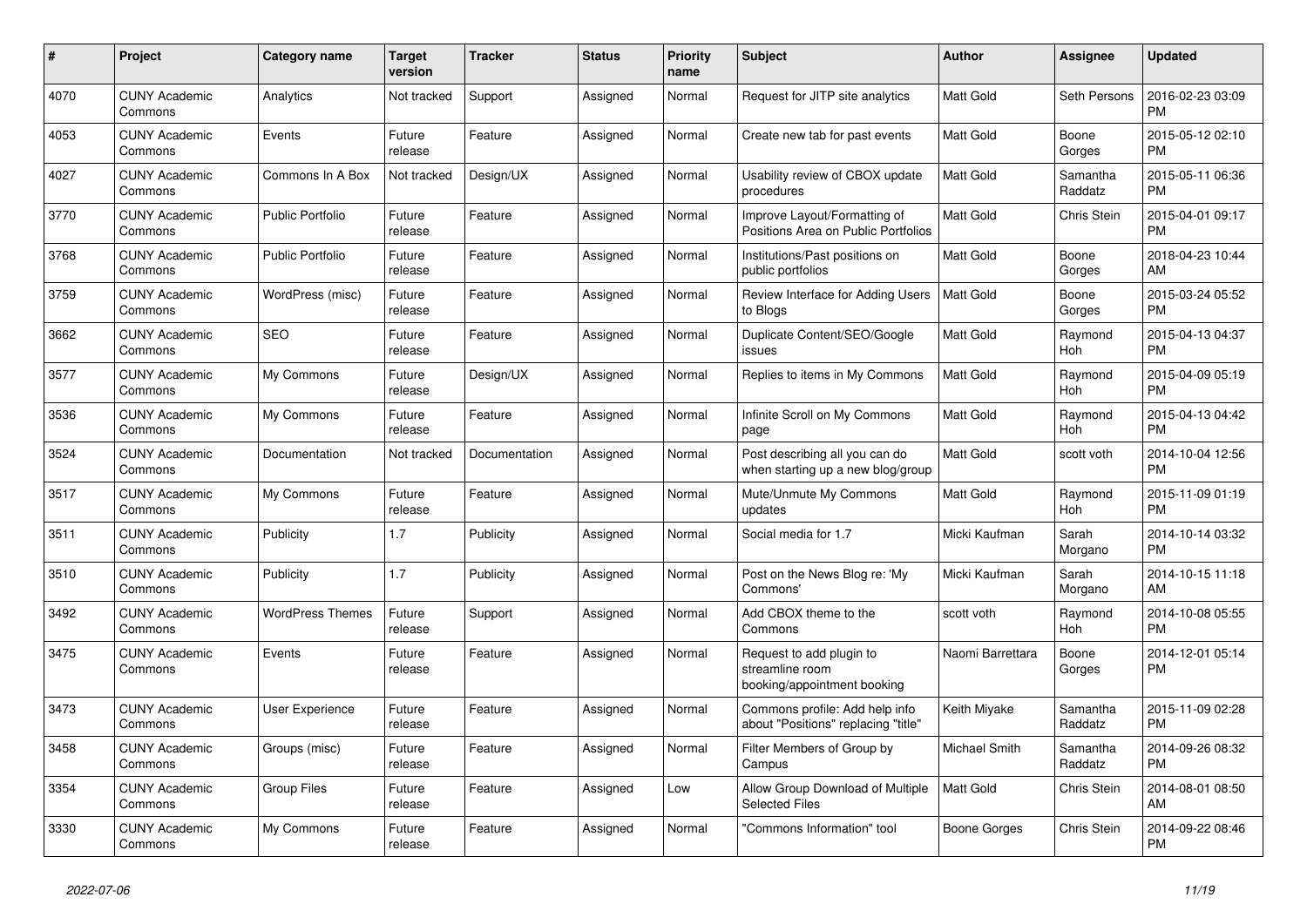| #    | Project                         | Category name           | <b>Target</b><br>version | Tracker       | <b>Status</b> | <b>Priority</b><br>name | <b>Subject</b>                                                             | <b>Author</b>        | Assignee            | <b>Updated</b>                |
|------|---------------------------------|-------------------------|--------------------------|---------------|---------------|-------------------------|----------------------------------------------------------------------------|----------------------|---------------------|-------------------------------|
| 4070 | <b>CUNY Academic</b><br>Commons | Analytics               | Not tracked              | Support       | Assigned      | Normal                  | Request for JITP site analytics                                            | <b>Matt Gold</b>     | Seth Persons        | 2016-02-23 03:09<br><b>PM</b> |
| 4053 | <b>CUNY Academic</b><br>Commons | Events                  | Future<br>release        | Feature       | Assigned      | Normal                  | Create new tab for past events                                             | <b>Matt Gold</b>     | Boone<br>Gorges     | 2015-05-12 02:10<br><b>PM</b> |
| 4027 | <b>CUNY Academic</b><br>Commons | Commons In A Box        | Not tracked              | Design/UX     | Assigned      | Normal                  | Usability review of CBOX update<br>procedures                              | <b>Matt Gold</b>     | Samantha<br>Raddatz | 2015-05-11 06:36<br><b>PM</b> |
| 3770 | <b>CUNY Academic</b><br>Commons | <b>Public Portfolio</b> | Future<br>release        | Feature       | Assigned      | Normal                  | Improve Layout/Formatting of<br>Positions Area on Public Portfolios        | Matt Gold            | Chris Stein         | 2015-04-01 09:17<br><b>PM</b> |
| 3768 | <b>CUNY Academic</b><br>Commons | <b>Public Portfolio</b> | Future<br>release        | Feature       | Assigned      | Normal                  | Institutions/Past positions on<br>public portfolios                        | Matt Gold            | Boone<br>Gorges     | 2018-04-23 10:44<br>AM        |
| 3759 | <b>CUNY Academic</b><br>Commons | WordPress (misc)        | Future<br>release        | Feature       | Assigned      | Normal                  | Review Interface for Adding Users<br>to Blogs                              | <b>Matt Gold</b>     | Boone<br>Gorges     | 2015-03-24 05:52<br><b>PM</b> |
| 3662 | <b>CUNY Academic</b><br>Commons | <b>SEO</b>              | Future<br>release        | Feature       | Assigned      | Normal                  | Duplicate Content/SEO/Google<br>issues                                     | <b>Matt Gold</b>     | Raymond<br>Hoh      | 2015-04-13 04:37<br><b>PM</b> |
| 3577 | <b>CUNY Academic</b><br>Commons | My Commons              | Future<br>release        | Design/UX     | Assigned      | Normal                  | Replies to items in My Commons                                             | <b>Matt Gold</b>     | Raymond<br>Hoh      | 2015-04-09 05:19<br><b>PM</b> |
| 3536 | <b>CUNY Academic</b><br>Commons | My Commons              | Future<br>release        | Feature       | Assigned      | Normal                  | Infinite Scroll on My Commons<br>page                                      | Matt Gold            | Raymond<br>Hoh      | 2015-04-13 04:42<br><b>PM</b> |
| 3524 | <b>CUNY Academic</b><br>Commons | Documentation           | Not tracked              | Documentation | Assigned      | Normal                  | Post describing all you can do<br>when starting up a new blog/group        | Matt Gold            | scott voth          | 2014-10-04 12:56<br><b>PM</b> |
| 3517 | <b>CUNY Academic</b><br>Commons | My Commons              | Future<br>release        | Feature       | Assigned      | Normal                  | Mute/Unmute My Commons<br>updates                                          | Matt Gold            | Raymond<br>Hoh      | 2015-11-09 01:19<br><b>PM</b> |
| 3511 | <b>CUNY Academic</b><br>Commons | Publicity               | 1.7                      | Publicity     | Assigned      | Normal                  | Social media for 1.7                                                       | Micki Kaufman        | Sarah<br>Morgano    | 2014-10-14 03:32<br><b>PM</b> |
| 3510 | <b>CUNY Academic</b><br>Commons | Publicity               | 1.7                      | Publicity     | Assigned      | Normal                  | Post on the News Blog re: 'My<br>Commons'                                  | Micki Kaufman        | Sarah<br>Morgano    | 2014-10-15 11:18<br>AM        |
| 3492 | <b>CUNY Academic</b><br>Commons | <b>WordPress Themes</b> | Future<br>release        | Support       | Assigned      | Normal                  | Add CBOX theme to the<br>Commons                                           | scott voth           | Raymond<br>Hoh      | 2014-10-08 05:55<br><b>PM</b> |
| 3475 | <b>CUNY Academic</b><br>Commons | Events                  | Future<br>release        | Feature       | Assigned      | Normal                  | Request to add plugin to<br>streamline room<br>booking/appointment booking | Naomi Barrettara     | Boone<br>Gorges     | 2014-12-01 05:14<br>PM        |
| 3473 | <b>CUNY Academic</b><br>Commons | User Experience         | Future<br>release        | Feature       | Assigned      | Normal                  | Commons profile: Add help info<br>about "Positions" replacing "title"      | Keith Miyake         | Samantha<br>Raddatz | 2015-11-09 02:28<br><b>PM</b> |
| 3458 | <b>CUNY Academic</b><br>Commons | Groups (misc)           | Future<br>release        | Feature       | Assigned      | Normal                  | Filter Members of Group by<br>Campus                                       | <b>Michael Smith</b> | Samantha<br>Raddatz | 2014-09-26 08:32<br><b>PM</b> |
| 3354 | <b>CUNY Academic</b><br>Commons | <b>Group Files</b>      | Future<br>release        | Feature       | Assigned      | Low                     | Allow Group Download of Multiple<br><b>Selected Files</b>                  | Matt Gold            | Chris Stein         | 2014-08-01 08:50<br>AM        |
| 3330 | <b>CUNY Academic</b><br>Commons | My Commons              | Future<br>release        | Feature       | Assigned      | Normal                  | "Commons Information" tool                                                 | Boone Gorges         | Chris Stein         | 2014-09-22 08:46<br><b>PM</b> |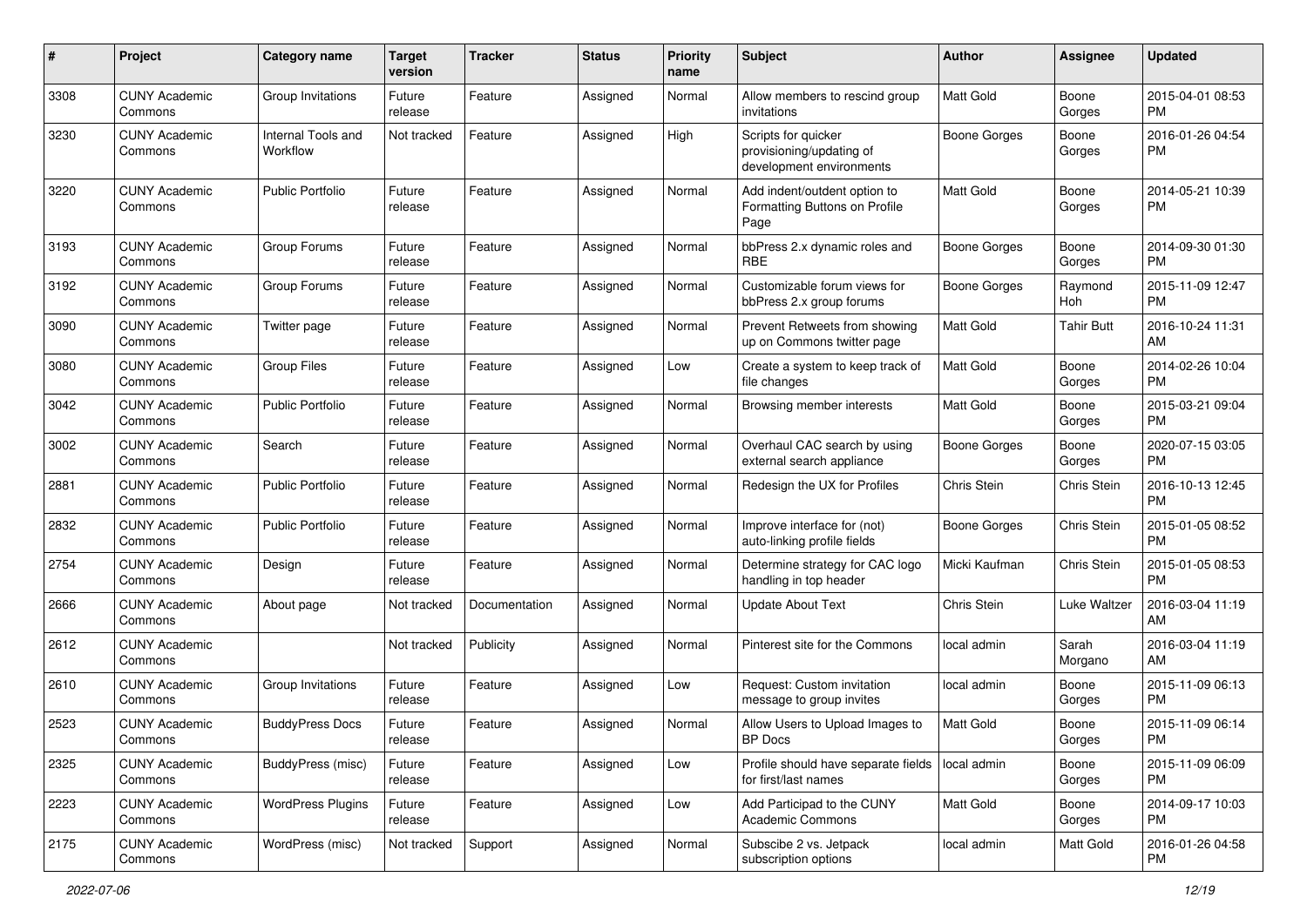| #    | Project                         | <b>Category name</b>           | <b>Target</b><br>version | <b>Tracker</b> | <b>Status</b> | Priority<br>name | <b>Subject</b>                                                              | Author              | <b>Assignee</b>  | <b>Updated</b>                |
|------|---------------------------------|--------------------------------|--------------------------|----------------|---------------|------------------|-----------------------------------------------------------------------------|---------------------|------------------|-------------------------------|
| 3308 | <b>CUNY Academic</b><br>Commons | Group Invitations              | Future<br>release        | Feature        | Assigned      | Normal           | Allow members to rescind group<br>invitations                               | <b>Matt Gold</b>    | Boone<br>Gorges  | 2015-04-01 08:53<br><b>PM</b> |
| 3230 | <b>CUNY Academic</b><br>Commons | Internal Tools and<br>Workflow | Not tracked              | Feature        | Assigned      | High             | Scripts for quicker<br>provisioning/updating of<br>development environments | <b>Boone Gorges</b> | Boone<br>Gorges  | 2016-01-26 04:54<br><b>PM</b> |
| 3220 | <b>CUNY Academic</b><br>Commons | <b>Public Portfolio</b>        | Future<br>release        | Feature        | Assigned      | Normal           | Add indent/outdent option to<br>Formatting Buttons on Profile<br>Page       | <b>Matt Gold</b>    | Boone<br>Gorges  | 2014-05-21 10:39<br><b>PM</b> |
| 3193 | <b>CUNY Academic</b><br>Commons | Group Forums                   | Future<br>release        | Feature        | Assigned      | Normal           | bbPress 2.x dynamic roles and<br>RBE                                        | <b>Boone Gorges</b> | Boone<br>Gorges  | 2014-09-30 01:30<br><b>PM</b> |
| 3192 | <b>CUNY Academic</b><br>Commons | Group Forums                   | Future<br>release        | Feature        | Assigned      | Normal           | Customizable forum views for<br>bbPress 2.x group forums                    | Boone Gorges        | Raymond<br>Hoh   | 2015-11-09 12:47<br><b>PM</b> |
| 3090 | <b>CUNY Academic</b><br>Commons | Twitter page                   | Future<br>release        | Feature        | Assigned      | Normal           | Prevent Retweets from showing<br>up on Commons twitter page                 | <b>Matt Gold</b>    | Tahir Butt       | 2016-10-24 11:31<br>AM        |
| 3080 | <b>CUNY Academic</b><br>Commons | <b>Group Files</b>             | Future<br>release        | Feature        | Assigned      | Low              | Create a system to keep track of<br>file changes                            | <b>Matt Gold</b>    | Boone<br>Gorges  | 2014-02-26 10:04<br><b>PM</b> |
| 3042 | <b>CUNY Academic</b><br>Commons | <b>Public Portfolio</b>        | Future<br>release        | Feature        | Assigned      | Normal           | Browsing member interests                                                   | Matt Gold           | Boone<br>Gorges  | 2015-03-21 09:04<br><b>PM</b> |
| 3002 | <b>CUNY Academic</b><br>Commons | Search                         | Future<br>release        | Feature        | Assigned      | Normal           | Overhaul CAC search by using<br>external search appliance                   | <b>Boone Gorges</b> | Boone<br>Gorges  | 2020-07-15 03:05<br><b>PM</b> |
| 2881 | <b>CUNY Academic</b><br>Commons | <b>Public Portfolio</b>        | Future<br>release        | Feature        | Assigned      | Normal           | Redesign the UX for Profiles                                                | Chris Stein         | Chris Stein      | 2016-10-13 12:45<br><b>PM</b> |
| 2832 | <b>CUNY Academic</b><br>Commons | <b>Public Portfolio</b>        | Future<br>release        | Feature        | Assigned      | Normal           | Improve interface for (not)<br>auto-linking profile fields                  | <b>Boone Gorges</b> | Chris Stein      | 2015-01-05 08:52<br><b>PM</b> |
| 2754 | <b>CUNY Academic</b><br>Commons | Design                         | Future<br>release        | Feature        | Assigned      | Normal           | Determine strategy for CAC logo<br>handling in top header                   | Micki Kaufman       | Chris Stein      | 2015-01-05 08:53<br><b>PM</b> |
| 2666 | <b>CUNY Academic</b><br>Commons | About page                     | Not tracked              | Documentation  | Assigned      | Normal           | <b>Update About Text</b>                                                    | Chris Stein         | Luke Waltzer     | 2016-03-04 11:19<br>AM        |
| 2612 | <b>CUNY Academic</b><br>Commons |                                | Not tracked              | Publicity      | Assigned      | Normal           | Pinterest site for the Commons                                              | local admin         | Sarah<br>Morgano | 2016-03-04 11:19<br>AM        |
| 2610 | <b>CUNY Academic</b><br>Commons | Group Invitations              | Future<br>release        | Feature        | Assigned      | Low              | Request: Custom invitation<br>message to group invites                      | local admin         | Boone<br>Gorges  | 2015-11-09 06:13<br><b>PM</b> |
| 2523 | <b>CUNY Academic</b><br>Commons | <b>BuddyPress Docs</b>         | Future<br>release        | Feature        | Assigned      | Normal           | Allow Users to Upload Images to<br>BP Docs                                  | <b>Matt Gold</b>    | Boone<br>Gorges  | 2015-11-09 06:14<br>PM        |
| 2325 | <b>CUNY Academic</b><br>Commons | BuddyPress (misc)              | Future<br>release        | Feature        | Assigned      | Low              | Profile should have separate fields   local admin<br>for first/last names   |                     | Boone<br>Gorges  | 2015-11-09 06:09<br>PM        |
| 2223 | <b>CUNY Academic</b><br>Commons | <b>WordPress Plugins</b>       | Future<br>release        | Feature        | Assigned      | Low              | Add Participad to the CUNY<br><b>Academic Commons</b>                       | <b>Matt Gold</b>    | Boone<br>Gorges  | 2014-09-17 10:03<br><b>PM</b> |
| 2175 | <b>CUNY Academic</b><br>Commons | WordPress (misc)               | Not tracked              | Support        | Assigned      | Normal           | Subscibe 2 vs. Jetpack<br>subscription options                              | local admin         | Matt Gold        | 2016-01-26 04:58<br><b>PM</b> |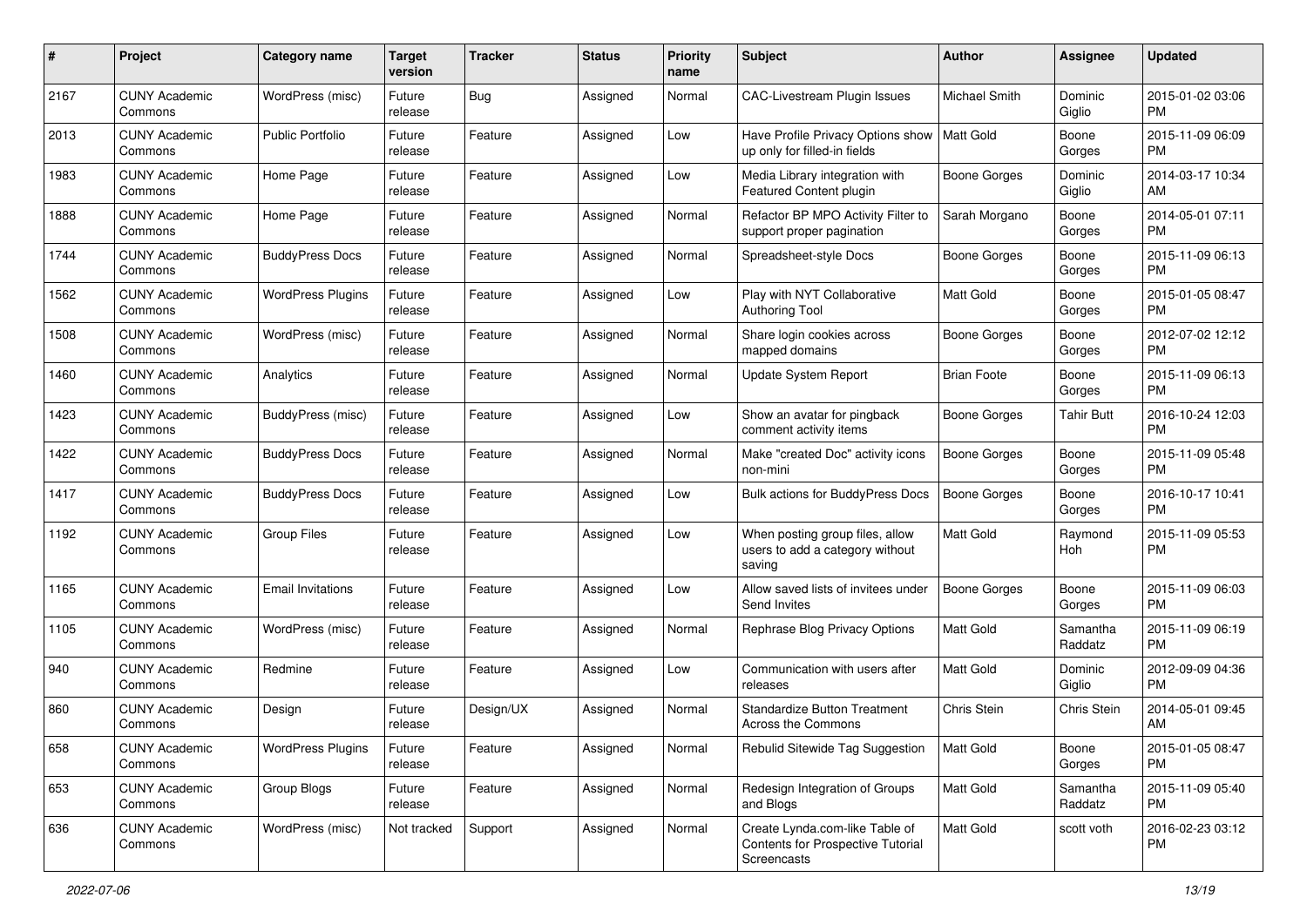| #    | Project                         | <b>Category name</b>     | <b>Target</b><br>version | <b>Tracker</b> | <b>Status</b> | <b>Priority</b><br>name | <b>Subject</b>                                                                     | <b>Author</b>       | <b>Assignee</b>     | <b>Updated</b>                |
|------|---------------------------------|--------------------------|--------------------------|----------------|---------------|-------------------------|------------------------------------------------------------------------------------|---------------------|---------------------|-------------------------------|
| 2167 | <b>CUNY Academic</b><br>Commons | WordPress (misc)         | Future<br>release        | <b>Bug</b>     | Assigned      | Normal                  | <b>CAC-Livestream Plugin Issues</b>                                                | Michael Smith       | Dominic<br>Giglio   | 2015-01-02 03:06<br><b>PM</b> |
| 2013 | <b>CUNY Academic</b><br>Commons | <b>Public Portfolio</b>  | Future<br>release        | Feature        | Assigned      | Low                     | Have Profile Privacy Options show<br>up only for filled-in fields                  | <b>Matt Gold</b>    | Boone<br>Gorges     | 2015-11-09 06:09<br><b>PM</b> |
| 1983 | <b>CUNY Academic</b><br>Commons | Home Page                | Future<br>release        | Feature        | Assigned      | Low                     | Media Library integration with<br>Featured Content plugin                          | <b>Boone Gorges</b> | Dominic<br>Giglio   | 2014-03-17 10:34<br>AM        |
| 1888 | <b>CUNY Academic</b><br>Commons | Home Page                | Future<br>release        | Feature        | Assigned      | Normal                  | Refactor BP MPO Activity Filter to<br>support proper pagination                    | Sarah Morgano       | Boone<br>Gorges     | 2014-05-01 07:11<br><b>PM</b> |
| 1744 | <b>CUNY Academic</b><br>Commons | <b>BuddyPress Docs</b>   | Future<br>release        | Feature        | Assigned      | Normal                  | Spreadsheet-style Docs                                                             | Boone Gorges        | Boone<br>Gorges     | 2015-11-09 06:13<br><b>PM</b> |
| 1562 | <b>CUNY Academic</b><br>Commons | <b>WordPress Plugins</b> | Future<br>release        | Feature        | Assigned      | Low                     | Play with NYT Collaborative<br><b>Authoring Tool</b>                               | <b>Matt Gold</b>    | Boone<br>Gorges     | 2015-01-05 08:47<br><b>PM</b> |
| 1508 | <b>CUNY Academic</b><br>Commons | WordPress (misc)         | Future<br>release        | Feature        | Assigned      | Normal                  | Share login cookies across<br>mapped domains                                       | <b>Boone Gorges</b> | Boone<br>Gorges     | 2012-07-02 12:12<br><b>PM</b> |
| 1460 | <b>CUNY Academic</b><br>Commons | Analytics                | Future<br>release        | Feature        | Assigned      | Normal                  | Update System Report                                                               | <b>Brian Foote</b>  | Boone<br>Gorges     | 2015-11-09 06:13<br><b>PM</b> |
| 1423 | <b>CUNY Academic</b><br>Commons | BuddyPress (misc)        | Future<br>release        | Feature        | Assigned      | Low                     | Show an avatar for pingback<br>comment activity items                              | <b>Boone Gorges</b> | Tahir Butt          | 2016-10-24 12:03<br><b>PM</b> |
| 1422 | <b>CUNY Academic</b><br>Commons | <b>BuddyPress Docs</b>   | Future<br>release        | Feature        | Assigned      | Normal                  | Make "created Doc" activity icons<br>non-mini                                      | <b>Boone Gorges</b> | Boone<br>Gorges     | 2015-11-09 05:48<br><b>PM</b> |
| 1417 | <b>CUNY Academic</b><br>Commons | <b>BuddyPress Docs</b>   | Future<br>release        | Feature        | Assigned      | Low                     | Bulk actions for BuddyPress Docs                                                   | <b>Boone Gorges</b> | Boone<br>Gorges     | 2016-10-17 10:41<br><b>PM</b> |
| 1192 | <b>CUNY Academic</b><br>Commons | <b>Group Files</b>       | Future<br>release        | Feature        | Assigned      | Low                     | When posting group files, allow<br>users to add a category without<br>saving       | <b>Matt Gold</b>    | Raymond<br>Hoh      | 2015-11-09 05:53<br><b>PM</b> |
| 1165 | <b>CUNY Academic</b><br>Commons | <b>Email Invitations</b> | Future<br>release        | Feature        | Assigned      | Low                     | Allow saved lists of invitees under<br>Send Invites                                | <b>Boone Gorges</b> | Boone<br>Gorges     | 2015-11-09 06:03<br><b>PM</b> |
| 1105 | <b>CUNY Academic</b><br>Commons | WordPress (misc)         | Future<br>release        | Feature        | Assigned      | Normal                  | Rephrase Blog Privacy Options                                                      | Matt Gold           | Samantha<br>Raddatz | 2015-11-09 06:19<br><b>PM</b> |
| 940  | <b>CUNY Academic</b><br>Commons | Redmine                  | Future<br>release        | Feature        | Assigned      | Low                     | Communication with users after<br>releases                                         | Matt Gold           | Dominic<br>Giglio   | 2012-09-09 04:36<br><b>PM</b> |
| 860  | <b>CUNY Academic</b><br>Commons | Design                   | Future<br>release        | Design/UX      | Assigned      | Normal                  | <b>Standardize Button Treatment</b><br>Across the Commons                          | Chris Stein         | Chris Stein         | 2014-05-01 09:45<br>AM        |
| 658  | <b>CUNY Academic</b><br>Commons | <b>WordPress Plugins</b> | Future<br>release        | Feature        | Assigned      | Normal                  | Rebulid Sitewide Tag Suggestion                                                    | Matt Gold           | Boone<br>Gorges     | 2015-01-05 08:47<br><b>PM</b> |
| 653  | <b>CUNY Academic</b><br>Commons | Group Blogs              | Future<br>release        | Feature        | Assigned      | Normal                  | Redesign Integration of Groups<br>and Blogs                                        | Matt Gold           | Samantha<br>Raddatz | 2015-11-09 05:40<br><b>PM</b> |
| 636  | <b>CUNY Academic</b><br>Commons | WordPress (misc)         | Not tracked              | Support        | Assigned      | Normal                  | Create Lynda.com-like Table of<br>Contents for Prospective Tutorial<br>Screencasts | Matt Gold           | scott voth          | 2016-02-23 03:12<br><b>PM</b> |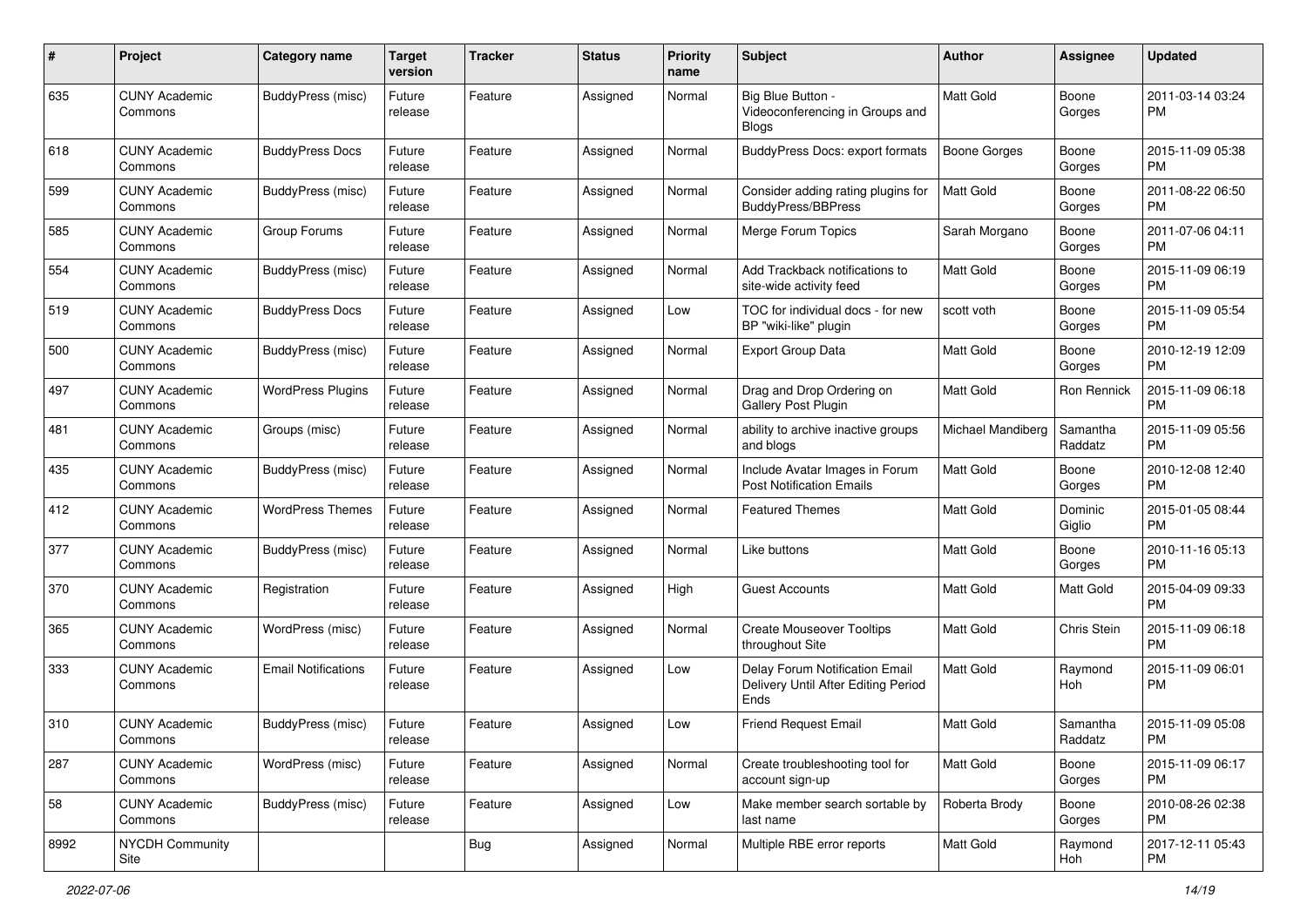| #    | Project                         | <b>Category name</b>       | <b>Target</b><br>version | <b>Tracker</b> | <b>Status</b> | <b>Priority</b><br>name | <b>Subject</b>                                                                | <b>Author</b>       | <b>Assignee</b>     | <b>Updated</b>                |
|------|---------------------------------|----------------------------|--------------------------|----------------|---------------|-------------------------|-------------------------------------------------------------------------------|---------------------|---------------------|-------------------------------|
| 635  | <b>CUNY Academic</b><br>Commons | BuddyPress (misc)          | Future<br>release        | Feature        | Assigned      | Normal                  | Big Blue Button -<br>Videoconferencing in Groups and<br><b>Blogs</b>          | Matt Gold           | Boone<br>Gorges     | 2011-03-14 03:24<br>PM        |
| 618  | <b>CUNY Academic</b><br>Commons | <b>BuddyPress Docs</b>     | Future<br>release        | Feature        | Assigned      | Normal                  | BuddyPress Docs: export formats                                               | <b>Boone Gorges</b> | Boone<br>Gorges     | 2015-11-09 05:38<br>PM        |
| 599  | <b>CUNY Academic</b><br>Commons | BuddyPress (misc)          | Future<br>release        | Feature        | Assigned      | Normal                  | Consider adding rating plugins for<br><b>BuddyPress/BBPress</b>               | <b>Matt Gold</b>    | Boone<br>Gorges     | 2011-08-22 06:50<br><b>PM</b> |
| 585  | <b>CUNY Academic</b><br>Commons | Group Forums               | Future<br>release        | Feature        | Assigned      | Normal                  | Merge Forum Topics                                                            | Sarah Morgano       | Boone<br>Gorges     | 2011-07-06 04:11<br><b>PM</b> |
| 554  | <b>CUNY Academic</b><br>Commons | BuddyPress (misc)          | Future<br>release        | Feature        | Assigned      | Normal                  | Add Trackback notifications to<br>site-wide activity feed                     | Matt Gold           | Boone<br>Gorges     | 2015-11-09 06:19<br><b>PM</b> |
| 519  | <b>CUNY Academic</b><br>Commons | <b>BuddyPress Docs</b>     | Future<br>release        | Feature        | Assigned      | Low                     | TOC for individual docs - for new<br>BP "wiki-like" plugin                    | scott voth          | Boone<br>Gorges     | 2015-11-09 05:54<br><b>PM</b> |
| 500  | <b>CUNY Academic</b><br>Commons | BuddyPress (misc)          | Future<br>release        | Feature        | Assigned      | Normal                  | <b>Export Group Data</b>                                                      | Matt Gold           | Boone<br>Gorges     | 2010-12-19 12:09<br><b>PM</b> |
| 497  | <b>CUNY Academic</b><br>Commons | <b>WordPress Plugins</b>   | Future<br>release        | Feature        | Assigned      | Normal                  | Drag and Drop Ordering on<br>Gallery Post Plugin                              | Matt Gold           | Ron Rennick         | 2015-11-09 06:18<br><b>PM</b> |
| 481  | <b>CUNY Academic</b><br>Commons | Groups (misc)              | Future<br>release        | Feature        | Assigned      | Normal                  | ability to archive inactive groups<br>and blogs                               | Michael Mandiberg   | Samantha<br>Raddatz | 2015-11-09 05:56<br>PM        |
| 435  | <b>CUNY Academic</b><br>Commons | BuddyPress (misc)          | Future<br>release        | Feature        | Assigned      | Normal                  | Include Avatar Images in Forum<br><b>Post Notification Emails</b>             | Matt Gold           | Boone<br>Gorges     | 2010-12-08 12:40<br><b>PM</b> |
| 412  | <b>CUNY Academic</b><br>Commons | <b>WordPress Themes</b>    | Future<br>release        | Feature        | Assigned      | Normal                  | Featured Themes                                                               | Matt Gold           | Dominic<br>Giglio   | 2015-01-05 08:44<br><b>PM</b> |
| 377  | <b>CUNY Academic</b><br>Commons | BuddyPress (misc)          | Future<br>release        | Feature        | Assigned      | Normal                  | Like buttons                                                                  | Matt Gold           | Boone<br>Gorges     | 2010-11-16 05:13<br><b>PM</b> |
| 370  | <b>CUNY Academic</b><br>Commons | Registration               | Future<br>release        | Feature        | Assigned      | High                    | <b>Guest Accounts</b>                                                         | Matt Gold           | Matt Gold           | 2015-04-09 09:33<br><b>PM</b> |
| 365  | <b>CUNY Academic</b><br>Commons | WordPress (misc)           | Future<br>release        | Feature        | Assigned      | Normal                  | <b>Create Mouseover Tooltips</b><br>throughout Site                           | Matt Gold           | Chris Stein         | 2015-11-09 06:18<br><b>PM</b> |
| 333  | <b>CUNY Academic</b><br>Commons | <b>Email Notifications</b> | Future<br>release        | Feature        | Assigned      | Low                     | Delay Forum Notification Email<br>Delivery Until After Editing Period<br>Ends | Matt Gold           | Raymond<br>Hoh      | 2015-11-09 06:01<br><b>PM</b> |
| 310  | <b>CUNY Academic</b><br>Commons | BuddyPress (misc)          | Future<br>release        | Feature        | Assigned      | Low                     | <b>Friend Request Email</b>                                                   | Matt Gold           | Samantha<br>Raddatz | 2015-11-09 05:08<br>PM        |
| 287  | <b>CUNY Academic</b><br>Commons | WordPress (misc)           | Future<br>release        | Feature        | Assigned      | Normal                  | Create troubleshooting tool for<br>account sign-up                            | Matt Gold           | Boone<br>Gorges     | 2015-11-09 06:17<br>PM        |
| 58   | <b>CUNY Academic</b><br>Commons | BuddyPress (misc)          | Future<br>release        | Feature        | Assigned      | Low                     | Make member search sortable by<br>last name                                   | Roberta Brody       | Boone<br>Gorges     | 2010-08-26 02:38<br>PM        |
| 8992 | <b>NYCDH Community</b><br>Site  |                            |                          | <b>Bug</b>     | Assigned      | Normal                  | Multiple RBE error reports                                                    | Matt Gold           | Raymond<br>Hoh      | 2017-12-11 05:43<br><b>PM</b> |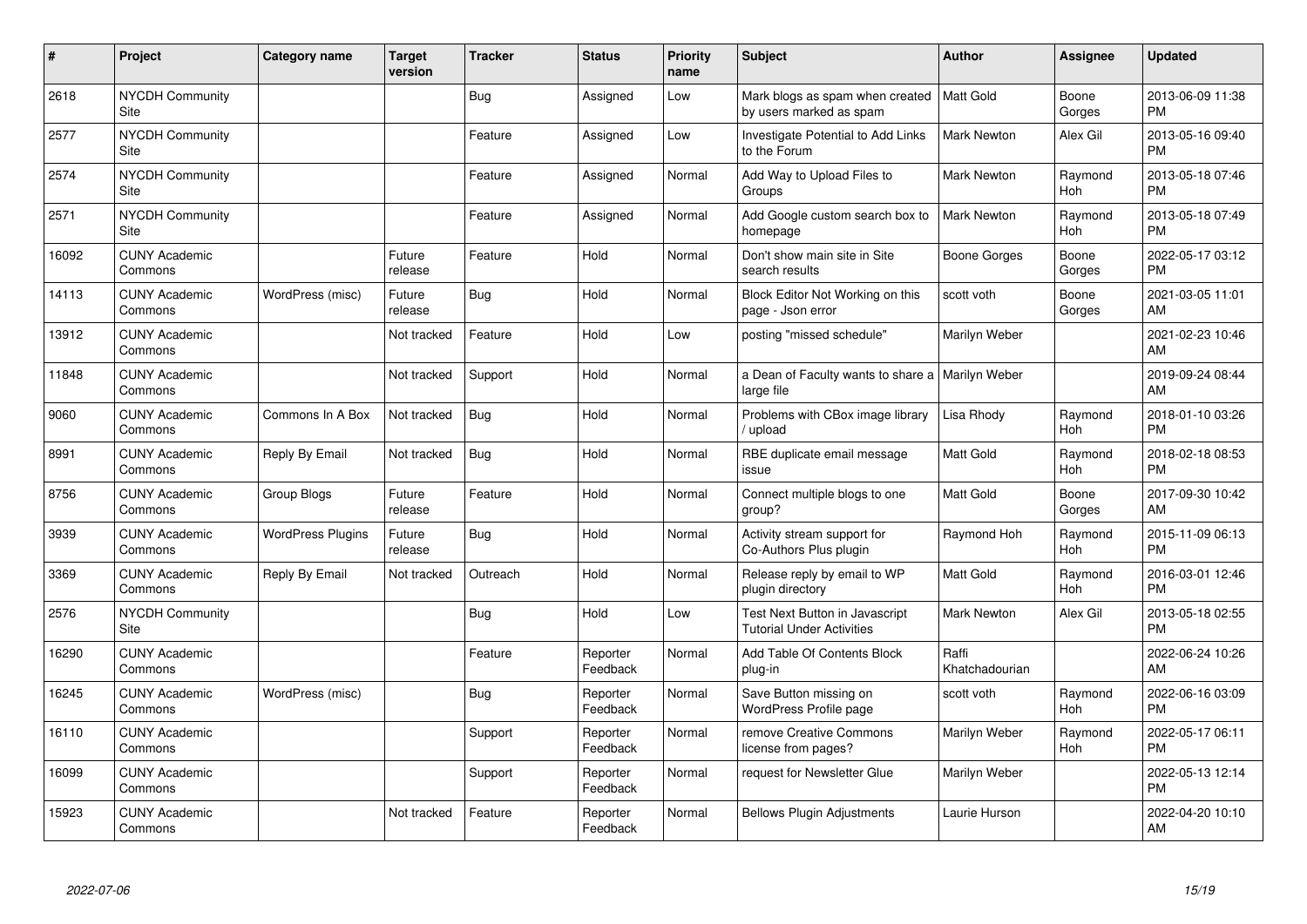| #     | Project                               | Category name            | <b>Target</b><br>version | <b>Tracker</b> | <b>Status</b>        | Priority<br>name | Subject                                                                   | Author                  | <b>Assignee</b> | <b>Updated</b>                |
|-------|---------------------------------------|--------------------------|--------------------------|----------------|----------------------|------------------|---------------------------------------------------------------------------|-------------------------|-----------------|-------------------------------|
| 2618  | NYCDH Community<br>Site               |                          |                          | <b>Bug</b>     | Assigned             | Low              | Mark blogs as spam when created   Matt Gold<br>by users marked as spam    |                         | Boone<br>Gorges | 2013-06-09 11:38<br><b>PM</b> |
| 2577  | <b>NYCDH Community</b><br>Site        |                          |                          | Feature        | Assigned             | Low              | Investigate Potential to Add Links<br>to the Forum                        | <b>Mark Newton</b>      | Alex Gil        | 2013-05-16 09:40<br><b>PM</b> |
| 2574  | <b>NYCDH Community</b><br><b>Site</b> |                          |                          | Feature        | Assigned             | Normal           | Add Way to Upload Files to<br>Groups                                      | <b>Mark Newton</b>      | Raymond<br>Hoh  | 2013-05-18 07:46<br><b>PM</b> |
| 2571  | NYCDH Community<br><b>Site</b>        |                          |                          | Feature        | Assigned             | Normal           | Add Google custom search box to<br>homepage                               | <b>Mark Newton</b>      | Raymond<br>Hoh  | 2013-05-18 07:49<br><b>PM</b> |
| 16092 | <b>CUNY Academic</b><br>Commons       |                          | Future<br>release        | Feature        | Hold                 | Normal           | Don't show main site in Site<br>search results                            | Boone Gorges            | Boone<br>Gorges | 2022-05-17 03:12<br><b>PM</b> |
| 14113 | <b>CUNY Academic</b><br>Commons       | WordPress (misc)         | Future<br>release        | <b>Bug</b>     | Hold                 | Normal           | Block Editor Not Working on this<br>page - Json error                     | scott voth              | Boone<br>Gorges | 2021-03-05 11:01<br>AM        |
| 13912 | <b>CUNY Academic</b><br>Commons       |                          | Not tracked              | Feature        | Hold                 | Low              | posting "missed schedule"                                                 | Marilyn Weber           |                 | 2021-02-23 10:46<br>AM        |
| 11848 | <b>CUNY Academic</b><br>Commons       |                          | Not tracked              | Support        | Hold                 | Normal           | a Dean of Faculty wants to share a   Marilyn Weber<br>large file          |                         |                 | 2019-09-24 08:44<br>AM        |
| 9060  | <b>CUNY Academic</b><br>Commons       | Commons In A Box         | Not tracked              | Bug            | Hold                 | Normal           | Problems with CBox image library<br>/ upload                              | Lisa Rhody              | Raymond<br>Hoh  | 2018-01-10 03:26<br><b>PM</b> |
| 8991  | <b>CUNY Academic</b><br>Commons       | Reply By Email           | Not tracked              | <b>Bug</b>     | Hold                 | Normal           | RBE duplicate email message<br>issue                                      | <b>Matt Gold</b>        | Raymond<br>Hoh  | 2018-02-18 08:53<br><b>PM</b> |
| 8756  | <b>CUNY Academic</b><br>Commons       | Group Blogs              | Future<br>release        | Feature        | Hold                 | Normal           | Connect multiple blogs to one<br>group?                                   | <b>Matt Gold</b>        | Boone<br>Gorges | 2017-09-30 10:42<br>AM        |
| 3939  | <b>CUNY Academic</b><br>Commons       | <b>WordPress Plugins</b> | Future<br>release        | <b>Bug</b>     | Hold                 | Normal           | Activity stream support for<br>Co-Authors Plus plugin                     | Raymond Hoh             | Raymond<br>Hoh  | 2015-11-09 06:13<br><b>PM</b> |
| 3369  | <b>CUNY Academic</b><br>Commons       | Reply By Email           | Not tracked              | Outreach       | Hold                 | Normal           | Release reply by email to WP<br>plugin directory                          | <b>Matt Gold</b>        | Raymond<br>Hoh  | 2016-03-01 12:46<br><b>PM</b> |
| 2576  | <b>NYCDH Community</b><br>Site        |                          |                          | Bug            | Hold                 | Low              | <b>Test Next Button in Javascript</b><br><b>Tutorial Under Activities</b> | <b>Mark Newton</b>      | Alex Gil        | 2013-05-18 02:55<br><b>PM</b> |
| 16290 | <b>CUNY Academic</b><br>Commons       |                          |                          | Feature        | Reporter<br>Feedback | Normal           | Add Table Of Contents Block<br>plug-in                                    | Raffi<br>Khatchadourian |                 | 2022-06-24 10:26<br>AM        |
| 16245 | <b>CUNY Academic</b><br>Commons       | WordPress (misc)         |                          | Bug            | Reporter<br>Feedback | Normal           | Save Button missing on<br><b>WordPress Profile page</b>                   | scott voth              | Raymond<br>Hoh  | 2022-06-16 03:09<br><b>PM</b> |
| 16110 | <b>CUNY Academic</b><br>Commons       |                          |                          | Support        | Reporter<br>Feedback | Normal           | remove Creative Commons<br>license from pages?                            | Marilyn Weber           | Raymond<br>Hoh  | 2022-05-17 06:11<br><b>PM</b> |
| 16099 | <b>CUNY Academic</b><br>Commons       |                          |                          | Support        | Reporter<br>Feedback | Normal           | request for Newsletter Glue                                               | Marilyn Weber           |                 | 2022-05-13 12:14<br><b>PM</b> |
| 15923 | <b>CUNY Academic</b><br>Commons       |                          | Not tracked              | Feature        | Reporter<br>Feedback | Normal           | <b>Bellows Plugin Adjustments</b>                                         | Laurie Hurson           |                 | 2022-04-20 10:10<br>AM        |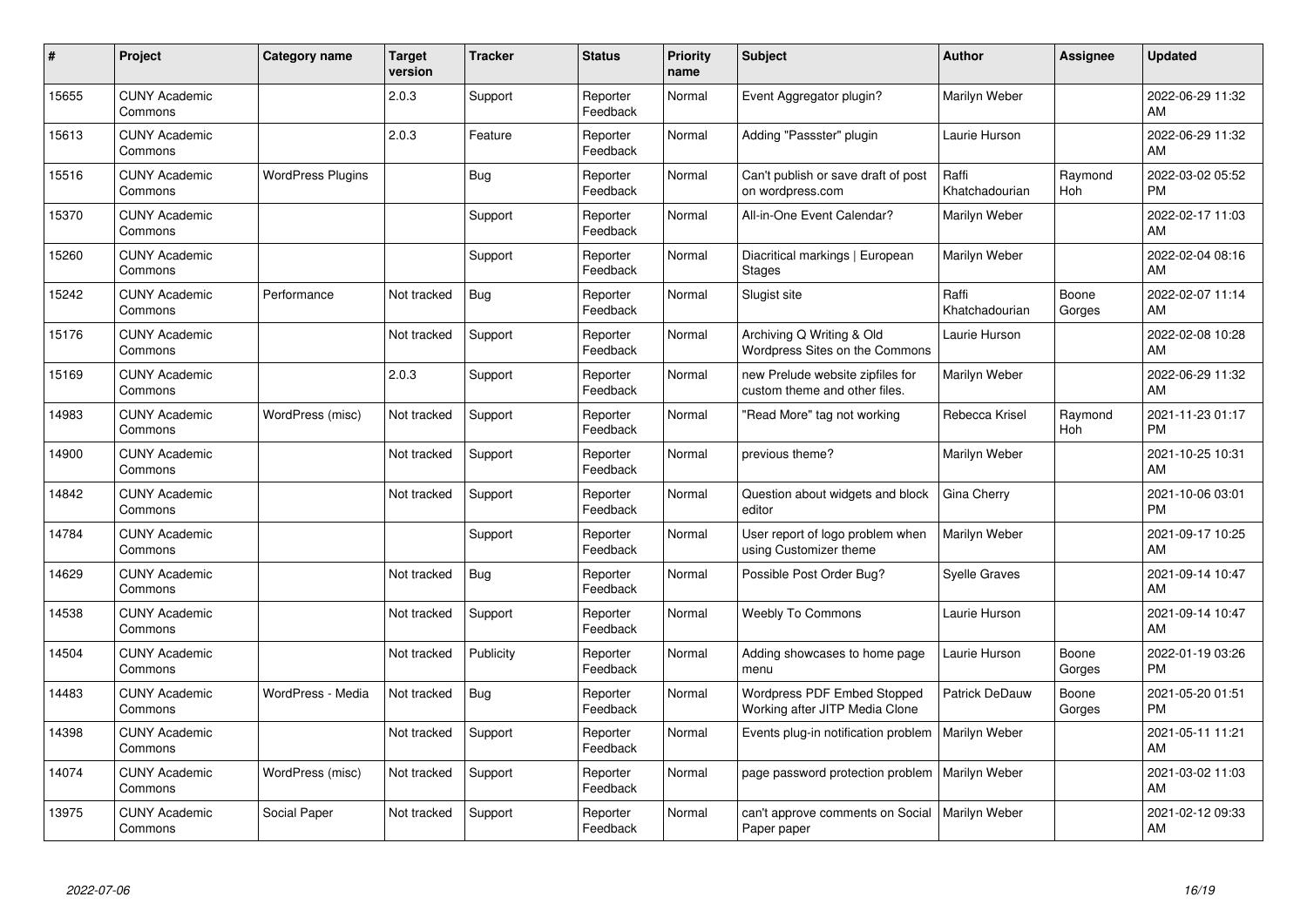| #     | Project                         | <b>Category name</b>     | <b>Target</b><br>version | <b>Tracker</b> | <b>Status</b>        | <b>Priority</b><br>name | <b>Subject</b>                                                    | <b>Author</b>           | <b>Assignee</b> | <b>Updated</b>                |
|-------|---------------------------------|--------------------------|--------------------------|----------------|----------------------|-------------------------|-------------------------------------------------------------------|-------------------------|-----------------|-------------------------------|
| 15655 | <b>CUNY Academic</b><br>Commons |                          | 2.0.3                    | Support        | Reporter<br>Feedback | Normal                  | Event Aggregator plugin?                                          | Marilyn Weber           |                 | 2022-06-29 11:32<br>AM        |
| 15613 | <b>CUNY Academic</b><br>Commons |                          | 2.0.3                    | Feature        | Reporter<br>Feedback | Normal                  | Adding "Passster" plugin                                          | Laurie Hurson           |                 | 2022-06-29 11:32<br>AM        |
| 15516 | <b>CUNY Academic</b><br>Commons | <b>WordPress Plugins</b> |                          | Bug            | Reporter<br>Feedback | Normal                  | Can't publish or save draft of post<br>on wordpress.com           | Raffi<br>Khatchadourian | Raymond<br>Hoh  | 2022-03-02 05:52<br><b>PM</b> |
| 15370 | <b>CUNY Academic</b><br>Commons |                          |                          | Support        | Reporter<br>Feedback | Normal                  | All-in-One Event Calendar?                                        | Marilyn Weber           |                 | 2022-02-17 11:03<br>AM        |
| 15260 | <b>CUNY Academic</b><br>Commons |                          |                          | Support        | Reporter<br>Feedback | Normal                  | Diacritical markings   European<br>Stages                         | Marilyn Weber           |                 | 2022-02-04 08:16<br>AM        |
| 15242 | <b>CUNY Academic</b><br>Commons | Performance              | Not tracked              | Bug            | Reporter<br>Feedback | Normal                  | Slugist site                                                      | Raffi<br>Khatchadourian | Boone<br>Gorges | 2022-02-07 11:14<br>AM        |
| 15176 | <b>CUNY Academic</b><br>Commons |                          | Not tracked              | Support        | Reporter<br>Feedback | Normal                  | Archiving Q Writing & Old<br>Wordpress Sites on the Commons       | Laurie Hurson           |                 | 2022-02-08 10:28<br>AM        |
| 15169 | <b>CUNY Academic</b><br>Commons |                          | 2.0.3                    | Support        | Reporter<br>Feedback | Normal                  | new Prelude website zipfiles for<br>custom theme and other files. | Marilyn Weber           |                 | 2022-06-29 11:32<br>AM        |
| 14983 | <b>CUNY Academic</b><br>Commons | WordPress (misc)         | Not tracked              | Support        | Reporter<br>Feedback | Normal                  | "Read More" tag not working                                       | Rebecca Krisel          | Raymond<br>Hoh  | 2021-11-23 01:17<br><b>PM</b> |
| 14900 | <b>CUNY Academic</b><br>Commons |                          | Not tracked              | Support        | Reporter<br>Feedback | Normal                  | previous theme?                                                   | Marilyn Weber           |                 | 2021-10-25 10:31<br>AM        |
| 14842 | <b>CUNY Academic</b><br>Commons |                          | Not tracked              | Support        | Reporter<br>Feedback | Normal                  | Question about widgets and block<br>editor                        | Gina Cherry             |                 | 2021-10-06 03:01<br><b>PM</b> |
| 14784 | <b>CUNY Academic</b><br>Commons |                          |                          | Support        | Reporter<br>Feedback | Normal                  | User report of logo problem when<br>using Customizer theme        | Marilyn Weber           |                 | 2021-09-17 10:25<br>AM        |
| 14629 | <b>CUNY Academic</b><br>Commons |                          | Not tracked              | Bug            | Reporter<br>Feedback | Normal                  | Possible Post Order Bug?                                          | <b>Syelle Graves</b>    |                 | 2021-09-14 10:47<br>AM        |
| 14538 | <b>CUNY Academic</b><br>Commons |                          | Not tracked              | Support        | Reporter<br>Feedback | Normal                  | <b>Weebly To Commons</b>                                          | Laurie Hurson           |                 | 2021-09-14 10:47<br>AM        |
| 14504 | <b>CUNY Academic</b><br>Commons |                          | Not tracked              | Publicity      | Reporter<br>Feedback | Normal                  | Adding showcases to home page<br>menu                             | Laurie Hurson           | Boone<br>Gorges | 2022-01-19 03:26<br><b>PM</b> |
| 14483 | <b>CUNY Academic</b><br>Commons | WordPress - Media        | Not tracked              | <b>Bug</b>     | Reporter<br>Feedback | Normal                  | Wordpress PDF Embed Stopped<br>Working after JITP Media Clone     | Patrick DeDauw          | Boone<br>Gorges | 2021-05-20 01:51<br><b>PM</b> |
| 14398 | <b>CUNY Academic</b><br>Commons |                          | Not tracked              | Support        | Reporter<br>Feedback | Normal                  | Events plug-in notification problem                               | Marilyn Weber           |                 | 2021-05-11 11:21<br>AM        |
| 14074 | <b>CUNY Academic</b><br>Commons | WordPress (misc)         | Not tracked              | Support        | Reporter<br>Feedback | Normal                  | page password protection problem                                  | Marilyn Weber           |                 | 2021-03-02 11:03<br>AM        |
| 13975 | <b>CUNY Academic</b><br>Commons | Social Paper             | Not tracked              | Support        | Reporter<br>Feedback | Normal                  | can't approve comments on Social<br>Paper paper                   | Marilyn Weber           |                 | 2021-02-12 09:33<br>AM        |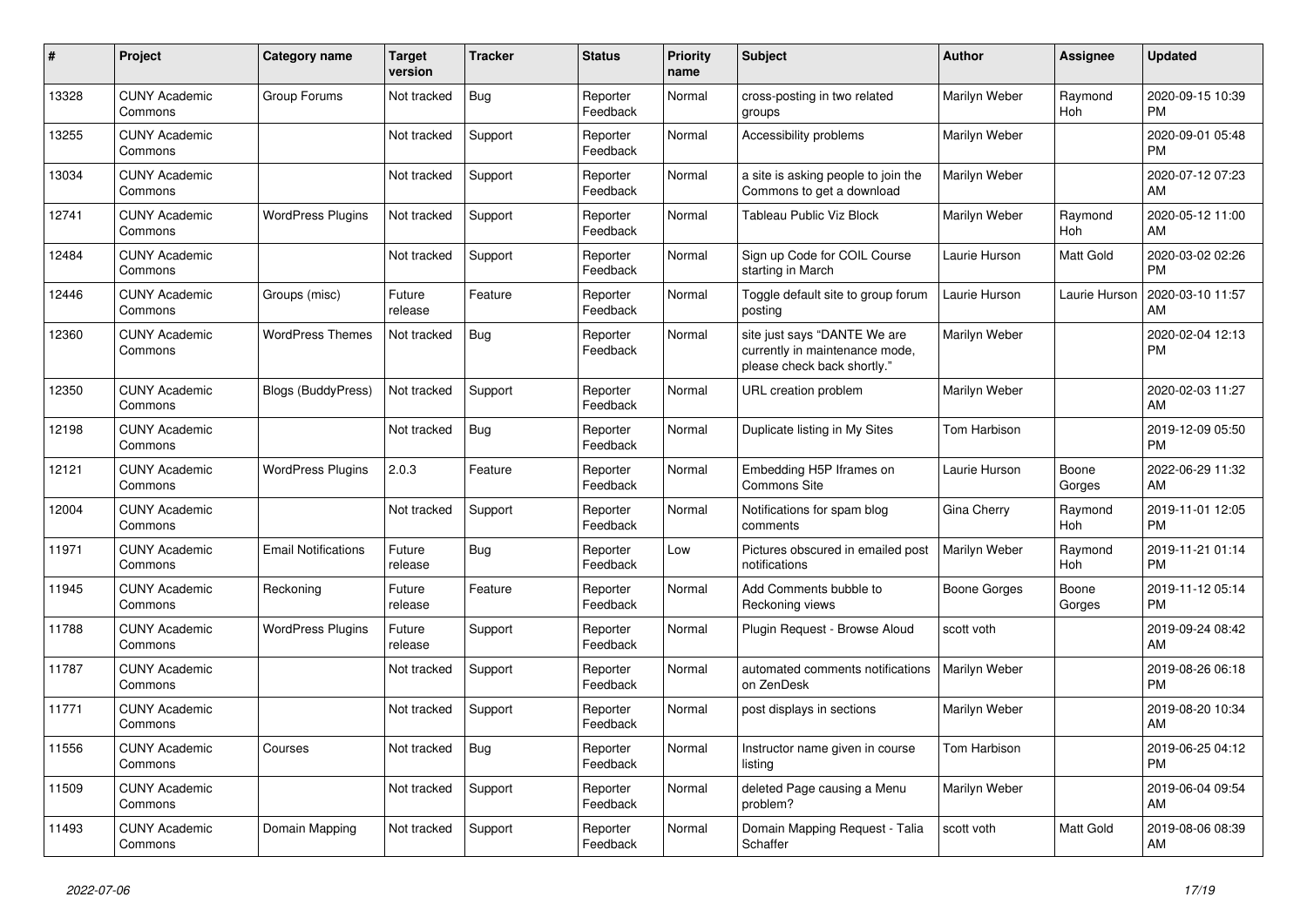| $\vert$ # | <b>Project</b>                  | <b>Category name</b>       | <b>Target</b><br>version | <b>Tracker</b> | <b>Status</b>        | <b>Priority</b><br>name | <b>Subject</b>                                                                                | <b>Author</b> | Assignee        | <b>Updated</b>                |
|-----------|---------------------------------|----------------------------|--------------------------|----------------|----------------------|-------------------------|-----------------------------------------------------------------------------------------------|---------------|-----------------|-------------------------------|
| 13328     | <b>CUNY Academic</b><br>Commons | Group Forums               | Not tracked              | <b>Bug</b>     | Reporter<br>Feedback | Normal                  | cross-posting in two related<br>groups                                                        | Marilyn Weber | Raymond<br>Hoh  | 2020-09-15 10:39<br><b>PM</b> |
| 13255     | <b>CUNY Academic</b><br>Commons |                            | Not tracked              | Support        | Reporter<br>Feedback | Normal                  | Accessibility problems                                                                        | Marilyn Weber |                 | 2020-09-01 05:48<br><b>PM</b> |
| 13034     | <b>CUNY Academic</b><br>Commons |                            | Not tracked              | Support        | Reporter<br>Feedback | Normal                  | a site is asking people to join the<br>Commons to get a download                              | Marilyn Weber |                 | 2020-07-12 07:23<br>AM        |
| 12741     | <b>CUNY Academic</b><br>Commons | <b>WordPress Plugins</b>   | Not tracked              | Support        | Reporter<br>Feedback | Normal                  | <b>Tableau Public Viz Block</b>                                                               | Marilyn Weber | Raymond<br>Hoh  | 2020-05-12 11:00<br>AM        |
| 12484     | <b>CUNY Academic</b><br>Commons |                            | Not tracked              | Support        | Reporter<br>Feedback | Normal                  | Sign up Code for COIL Course<br>starting in March                                             | Laurie Hurson | Matt Gold       | 2020-03-02 02:26<br><b>PM</b> |
| 12446     | <b>CUNY Academic</b><br>Commons | Groups (misc)              | Future<br>release        | Feature        | Reporter<br>Feedback | Normal                  | Toggle default site to group forum<br>posting                                                 | Laurie Hurson | Laurie Hurson   | 2020-03-10 11:57<br>AM        |
| 12360     | <b>CUNY Academic</b><br>Commons | <b>WordPress Themes</b>    | Not tracked              | Bug            | Reporter<br>Feedback | Normal                  | site just says "DANTE We are<br>currently in maintenance mode,<br>please check back shortly." | Marilyn Weber |                 | 2020-02-04 12:13<br><b>PM</b> |
| 12350     | <b>CUNY Academic</b><br>Commons | <b>Blogs (BuddyPress)</b>  | Not tracked              | Support        | Reporter<br>Feedback | Normal                  | URL creation problem                                                                          | Marilyn Weber |                 | 2020-02-03 11:27<br>AM        |
| 12198     | <b>CUNY Academic</b><br>Commons |                            | Not tracked              | Bug            | Reporter<br>Feedback | Normal                  | Duplicate listing in My Sites                                                                 | Tom Harbison  |                 | 2019-12-09 05:50<br><b>PM</b> |
| 12121     | <b>CUNY Academic</b><br>Commons | <b>WordPress Plugins</b>   | 2.0.3                    | Feature        | Reporter<br>Feedback | Normal                  | Embedding H5P Iframes on<br>Commons Site                                                      | Laurie Hurson | Boone<br>Gorges | 2022-06-29 11:32<br>AM        |
| 12004     | <b>CUNY Academic</b><br>Commons |                            | Not tracked              | Support        | Reporter<br>Feedback | Normal                  | Notifications for spam blog<br>comments                                                       | Gina Cherry   | Raymond<br>Hoh  | 2019-11-01 12:05<br><b>PM</b> |
| 11971     | <b>CUNY Academic</b><br>Commons | <b>Email Notifications</b> | Future<br>release        | Bug            | Reporter<br>Feedback | Low                     | Pictures obscured in emailed post<br>notifications                                            | Marilyn Weber | Raymond<br>Hoh  | 2019-11-21 01:14<br><b>PM</b> |
| 11945     | <b>CUNY Academic</b><br>Commons | Reckoning                  | Future<br>release        | Feature        | Reporter<br>Feedback | Normal                  | Add Comments bubble to<br>Reckoning views                                                     | Boone Gorges  | Boone<br>Gorges | 2019-11-12 05:14<br><b>PM</b> |
| 11788     | <b>CUNY Academic</b><br>Commons | <b>WordPress Plugins</b>   | Future<br>release        | Support        | Reporter<br>Feedback | Normal                  | Plugin Request - Browse Aloud                                                                 | scott voth    |                 | 2019-09-24 08:42<br>AM        |
| 11787     | <b>CUNY Academic</b><br>Commons |                            | Not tracked              | Support        | Reporter<br>Feedback | Normal                  | automated comments notifications<br>on ZenDesk                                                | Marilyn Weber |                 | 2019-08-26 06:18<br><b>PM</b> |
| 11771     | <b>CUNY Academic</b><br>Commons |                            | Not tracked              | Support        | Reporter<br>Feedback | Normal                  | post displays in sections                                                                     | Marilyn Weber |                 | 2019-08-20 10:34<br>AM        |
| 11556     | <b>CUNY Academic</b><br>Commons | Courses                    | Not tracked              | <b>Bug</b>     | Reporter<br>Feedback | Normal                  | Instructor name given in course<br>listina                                                    | Tom Harbison  |                 | 2019-06-25 04:12<br><b>PM</b> |
| 11509     | <b>CUNY Academic</b><br>Commons |                            | Not tracked              | Support        | Reporter<br>Feedback | Normal                  | deleted Page causing a Menu<br>problem?                                                       | Marilyn Weber |                 | 2019-06-04 09:54<br>AM        |
| 11493     | <b>CUNY Academic</b><br>Commons | Domain Mapping             | Not tracked              | Support        | Reporter<br>Feedback | Normal                  | Domain Mapping Request - Talia<br>Schaffer                                                    | scott voth    | Matt Gold       | 2019-08-06 08:39<br>AM        |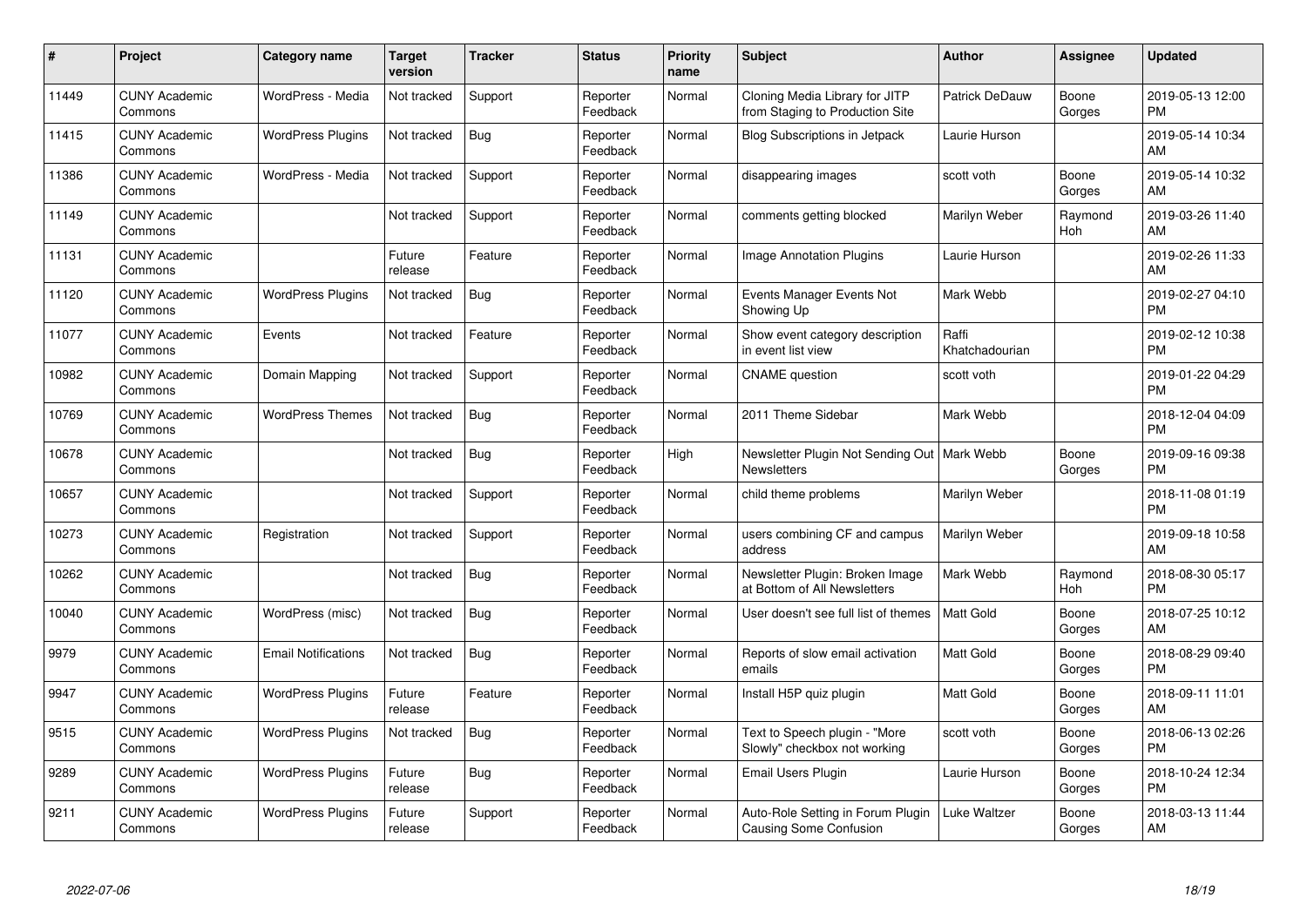| #     | Project                         | Category name              | <b>Target</b><br>version | <b>Tracker</b> | <b>Status</b>        | <b>Priority</b><br>name | <b>Subject</b>                                                      | <b>Author</b>           | <b>Assignee</b> | <b>Updated</b>                |
|-------|---------------------------------|----------------------------|--------------------------|----------------|----------------------|-------------------------|---------------------------------------------------------------------|-------------------------|-----------------|-------------------------------|
| 11449 | <b>CUNY Academic</b><br>Commons | WordPress - Media          | Not tracked              | Support        | Reporter<br>Feedback | Normal                  | Cloning Media Library for JITP<br>from Staging to Production Site   | <b>Patrick DeDauw</b>   | Boone<br>Gorges | 2019-05-13 12:00<br><b>PM</b> |
| 11415 | <b>CUNY Academic</b><br>Commons | <b>WordPress Plugins</b>   | Not tracked              | Bug            | Reporter<br>Feedback | Normal                  | <b>Blog Subscriptions in Jetpack</b>                                | Laurie Hurson           |                 | 2019-05-14 10:34<br>AM        |
| 11386 | <b>CUNY Academic</b><br>Commons | WordPress - Media          | Not tracked              | Support        | Reporter<br>Feedback | Normal                  | disappearing images                                                 | scott voth              | Boone<br>Gorges | 2019-05-14 10:32<br>AM        |
| 11149 | <b>CUNY Academic</b><br>Commons |                            | Not tracked              | Support        | Reporter<br>Feedback | Normal                  | comments getting blocked                                            | Marilyn Weber           | Raymond<br>Hoh  | 2019-03-26 11:40<br>AM        |
| 11131 | <b>CUNY Academic</b><br>Commons |                            | Future<br>release        | Feature        | Reporter<br>Feedback | Normal                  | Image Annotation Plugins                                            | Laurie Hurson           |                 | 2019-02-26 11:33<br>AM        |
| 11120 | <b>CUNY Academic</b><br>Commons | <b>WordPress Plugins</b>   | Not tracked              | <b>Bug</b>     | Reporter<br>Feedback | Normal                  | Events Manager Events Not<br>Showing Up                             | Mark Webb               |                 | 2019-02-27 04:10<br><b>PM</b> |
| 11077 | <b>CUNY Academic</b><br>Commons | Events                     | Not tracked              | Feature        | Reporter<br>Feedback | Normal                  | Show event category description<br>in event list view               | Raffi<br>Khatchadourian |                 | 2019-02-12 10:38<br><b>PM</b> |
| 10982 | <b>CUNY Academic</b><br>Commons | Domain Mapping             | Not tracked              | Support        | Reporter<br>Feedback | Normal                  | <b>CNAME</b> question                                               | scott voth              |                 | 2019-01-22 04:29<br><b>PM</b> |
| 10769 | <b>CUNY Academic</b><br>Commons | <b>WordPress Themes</b>    | Not tracked              | <b>Bug</b>     | Reporter<br>Feedback | Normal                  | 2011 Theme Sidebar                                                  | Mark Webb               |                 | 2018-12-04 04:09<br><b>PM</b> |
| 10678 | <b>CUNY Academic</b><br>Commons |                            | Not tracked              | <b>Bug</b>     | Reporter<br>Feedback | High                    | Newsletter Plugin Not Sending Out   Mark Webb<br><b>Newsletters</b> |                         | Boone<br>Gorges | 2019-09-16 09:38<br>PM        |
| 10657 | <b>CUNY Academic</b><br>Commons |                            | Not tracked              | Support        | Reporter<br>Feedback | Normal                  | child theme problems                                                | Marilyn Weber           |                 | 2018-11-08 01:19<br><b>PM</b> |
| 10273 | <b>CUNY Academic</b><br>Commons | Registration               | Not tracked              | Support        | Reporter<br>Feedback | Normal                  | users combining CF and campus<br>address                            | Marilyn Weber           |                 | 2019-09-18 10:58<br>AM        |
| 10262 | <b>CUNY Academic</b><br>Commons |                            | Not tracked              | <b>Bug</b>     | Reporter<br>Feedback | Normal                  | Newsletter Plugin: Broken Image<br>at Bottom of All Newsletters     | Mark Webb               | Raymond<br>Hoh  | 2018-08-30 05:17<br><b>PM</b> |
| 10040 | <b>CUNY Academic</b><br>Commons | WordPress (misc)           | Not tracked              | Bug            | Reporter<br>Feedback | Normal                  | User doesn't see full list of themes                                | <b>Matt Gold</b>        | Boone<br>Gorges | 2018-07-25 10:12<br>AM        |
| 9979  | <b>CUNY Academic</b><br>Commons | <b>Email Notifications</b> | Not tracked              | <b>Bug</b>     | Reporter<br>Feedback | Normal                  | Reports of slow email activation<br>emails                          | Matt Gold               | Boone<br>Gorges | 2018-08-29 09:40<br><b>PM</b> |
| 9947  | <b>CUNY Academic</b><br>Commons | <b>WordPress Plugins</b>   | Future<br>release        | Feature        | Reporter<br>Feedback | Normal                  | Install H5P quiz plugin                                             | Matt Gold               | Boone<br>Gorges | 2018-09-11 11:01<br>AM        |
| 9515  | <b>CUNY Academic</b><br>Commons | <b>WordPress Plugins</b>   | Not tracked              | Bug            | Reporter<br>Feedback | Normal                  | Text to Speech plugin - "More<br>Slowly" checkbox not working       | scott voth              | Boone<br>Gorges | 2018-06-13 02:26<br><b>PM</b> |
| 9289  | <b>CUNY Academic</b><br>Commons | <b>WordPress Plugins</b>   | Future<br>release        | <b>Bug</b>     | Reporter<br>Feedback | Normal                  | Email Users Plugin                                                  | Laurie Hurson           | Boone<br>Gorges | 2018-10-24 12:34<br><b>PM</b> |
| 9211  | <b>CUNY Academic</b><br>Commons | <b>WordPress Plugins</b>   | Future<br>release        | Support        | Reporter<br>Feedback | Normal                  | Auto-Role Setting in Forum Plugin<br><b>Causing Some Confusion</b>  | Luke Waltzer            | Boone<br>Gorges | 2018-03-13 11:44<br>AM        |